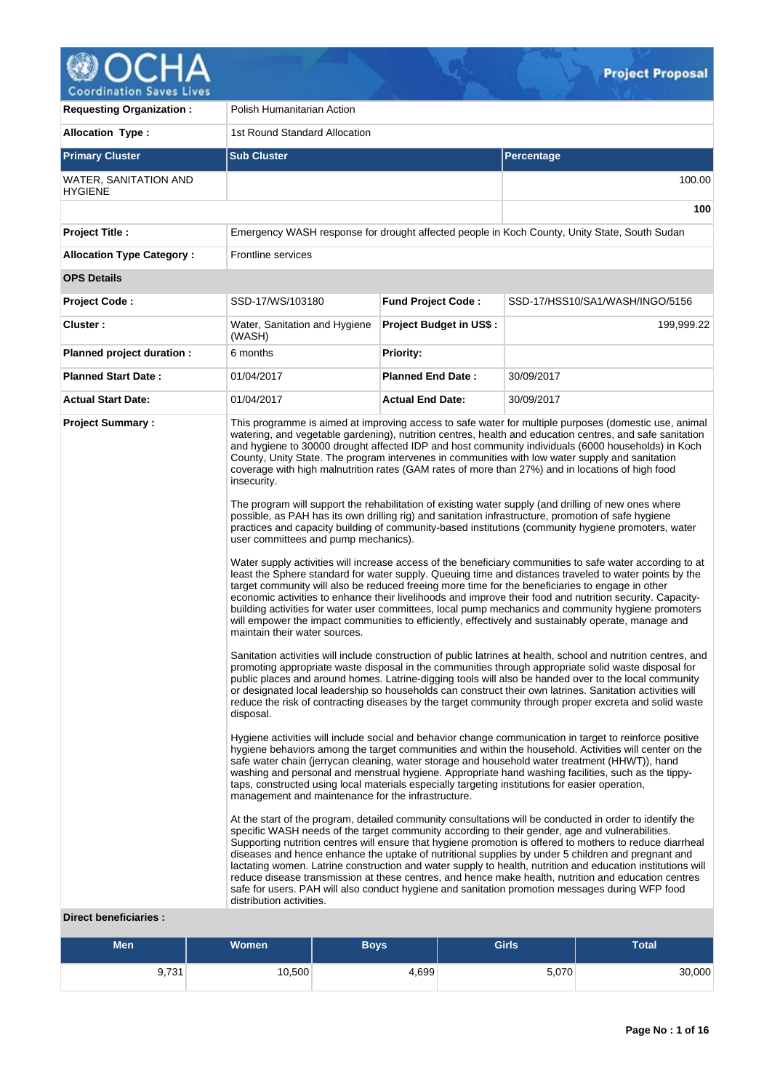

**Requesting Organization :** Polish Humanitarian Action **Allocation Type :** 1st Round Standard Allocation **Primary Cluster Sub Cluster Sub Cluster** Sub Cluster Sub Cluster Sub Cluster Sub Cluster Sub Cluster Sub Cluster WATER, SANITATION AND **HYGIENE** 100.00 **100 Project Title :** Emergency WASH response for drought affected people in Koch County, Unity State, South Sudan **Allocation Type Category :** Frontline services **OPS Details Project Code :** SSD-17/WS/103180 **Fund Project Code :** SSD-17/HSS10/SA1/WASH/INGO/5156 **Cluster :** Water, Sanitation and Hygiene (WASH) **Project Budget in US\$ :** 199,999.22 **Planned project duration :** 6 months **Priority: Planned Start Date :** 01/04/2017 **Planned End Date :** 30/09/2017 **Actual Start Date:** 01/04/2017 **Actual End Date:** 30/09/2017 **Project Summary :** This programme is aimed at improving access to safe water for multiple purposes (domestic use, animal watering, and vegetable gardening), nutrition centres, health and education centres, and safe sanitation and hygiene to 30000 drought affected IDP and host community individuals (6000 households) in Koch County, Unity State. The program intervenes in communities with low water supply and sanitation coverage with high malnutrition rates (GAM rates of more than 27%) and in locations of high food insecurity. The program will support the rehabilitation of existing water supply (and drilling of new ones where possible, as PAH has its own drilling rig) and sanitation infrastructure, promotion of safe hygiene practices and capacity building of community-based institutions (community hygiene promoters, water user committees and pump mechanics). Water supply activities will increase access of the beneficiary communities to safe water according to at least the Sphere standard for water supply. Queuing time and distances traveled to water points by the target community will also be reduced freeing more time for the beneficiaries to engage in other economic activities to enhance their livelihoods and improve their food and nutrition security. Capacitybuilding activities for water user committees, local pump mechanics and community hygiene promoters will empower the impact communities to efficiently, effectively and sustainably operate, manage and maintain their water sources. Sanitation activities will include construction of public latrines at health, school and nutrition centres, and promoting appropriate waste disposal in the communities through appropriate solid waste disposal for public places and around homes. Latrine-digging tools will also be handed over to the local community or designated local leadership so households can construct their own latrines. Sanitation activities will reduce the risk of contracting diseases by the target community through proper excreta and solid waste disposal. Hygiene activities will include social and behavior change communication in target to reinforce positive hygiene behaviors among the target communities and within the household. Activities will center on the safe water chain (jerrycan cleaning, water storage and household water treatment (HHWT)), hand washing and personal and menstrual hygiene. Appropriate hand washing facilities, such as the tippytaps, constructed using local materials especially targeting institutions for easier operation, management and maintenance for the infrastructure. At the start of the program, detailed community consultations will be conducted in order to identify the specific WASH needs of the target community according to their gender, age and vulnerabilities. Supporting nutrition centres will ensure that hygiene promotion is offered to mothers to reduce diarrheal diseases and hence enhance the uptake of nutritional supplies by under 5 children and pregnant and lactating women. Latrine construction and water supply to health, nutrition and education institutions will reduce disease transmission at these centres, and hence make health, nutrition and education centres safe for users. PAH will also conduct hygiene and sanitation promotion messages during WFP food distribution activities.

#### **Direct beneficiaries :**

| Meni  | Women  | <b>Boys</b> | <b>Girls</b> | <b>Total</b> |
|-------|--------|-------------|--------------|--------------|
| 9,731 | 10,500 | 1,699       | 5,070        | 30,000       |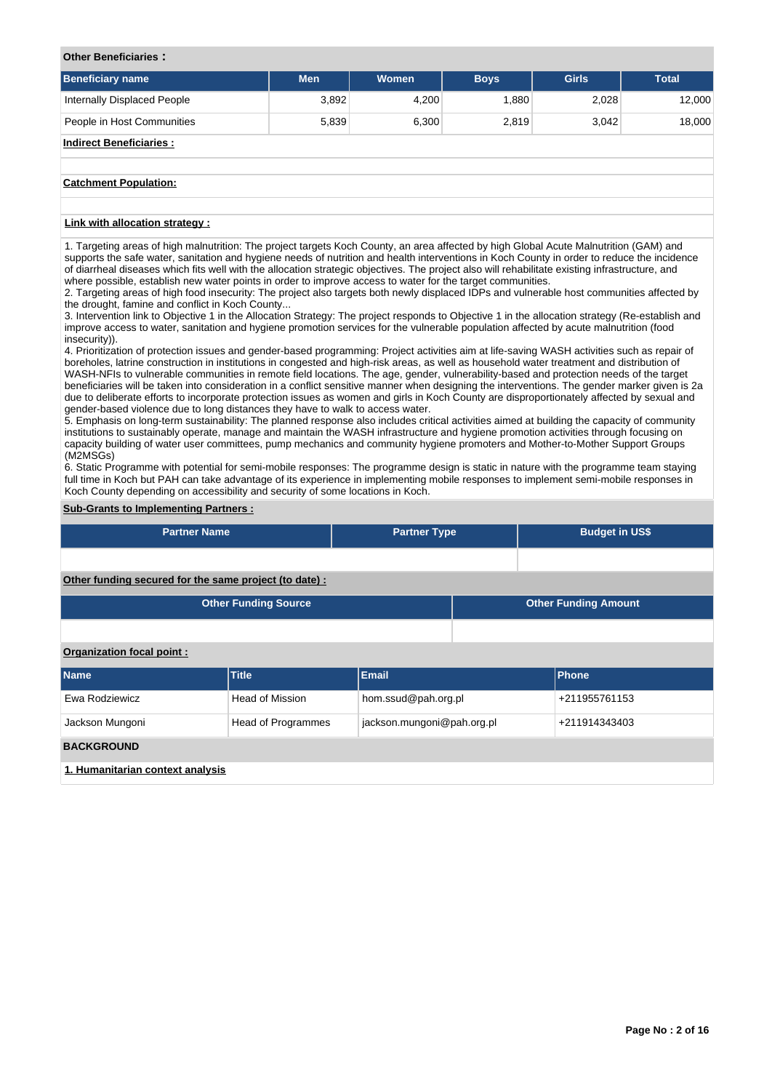## **Other Beneficiaries :**

| <b>Beneficiary name</b>        | <b>Men</b> | Women | <b>Boys</b> | <b>Girls</b> | <b>Total</b> |
|--------------------------------|------------|-------|-------------|--------------|--------------|
| Internally Displaced People    | 3,892      | 4,200 | 1,880       | 2,028        | 12,000       |
| People in Host Communities     | 5,839      | 6,300 | 2,819       | 3,042        | 18,000       |
| <b>Indirect Beneficiaries:</b> |            |       |             |              |              |
|                                |            |       |             |              |              |
| <b>Catchment Population:</b>   |            |       |             |              |              |

# **Link with allocation strategy :**

1. Targeting areas of high malnutrition: The project targets Koch County, an area affected by high Global Acute Malnutrition (GAM) and supports the safe water, sanitation and hygiene needs of nutrition and health interventions in Koch County in order to reduce the incidence of diarrheal diseases which fits well with the allocation strategic objectives. The project also will rehabilitate existing infrastructure, and where possible, establish new water points in order to improve access to water for the target communities.

2. Targeting areas of high food insecurity: The project also targets both newly displaced IDPs and vulnerable host communities affected by the drought, famine and conflict in Koch County...

3. Intervention link to Objective 1 in the Allocation Strategy: The project responds to Objective 1 in the allocation strategy (Re-establish and improve access to water, sanitation and hygiene promotion services for the vulnerable population affected by acute malnutrition (food insecurity)).

4. Prioritization of protection issues and gender-based programming: Project activities aim at life-saving WASH activities such as repair of boreholes, latrine construction in institutions in congested and high-risk areas, as well as household water treatment and distribution of WASH-NFIs to vulnerable communities in remote field locations. The age, gender, vulnerability-based and protection needs of the target beneficiaries will be taken into consideration in a conflict sensitive manner when designing the interventions. The gender marker given is 2a due to deliberate efforts to incorporate protection issues as women and girls in Koch County are disproportionately affected by sexual and gender-based violence due to long distances they have to walk to access water.

5. Emphasis on long-term sustainability: The planned response also includes critical activities aimed at building the capacity of community institutions to sustainably operate, manage and maintain the WASH infrastructure and hygiene promotion activities through focusing on capacity building of water user committees, pump mechanics and community hygiene promoters and Mother-to-Mother Support Groups (M2MSGs)

6. Static Programme with potential for semi-mobile responses: The programme design is static in nature with the programme team staying full time in Koch but PAH can take advantage of its experience in implementing mobile responses to implement semi-mobile responses in Koch County depending on accessibility and security of some locations in Koch.

## **Sub-Grants to Implementing Partners :**

| <b>Partner Name</b>                                   | <b>Partner Type</b> | <b>Budget in US\$</b>       |
|-------------------------------------------------------|---------------------|-----------------------------|
|                                                       |                     |                             |
| Other funding secured for the same project (to date): |                     |                             |
| <b>Other Funding Source</b>                           |                     | <b>Other Funding Amount</b> |

#### **Organization focal point :**

| <b>Name</b>                      | <b>Title</b>           | <b>Email</b>               | Phone         |
|----------------------------------|------------------------|----------------------------|---------------|
| Ewa Rodziewicz                   | <b>Head of Mission</b> | hom.ssud@pah.org.pl        | +211955761153 |
| Jackson Mungoni                  | Head of Programmes     | jackson.mungoni@pah.org.pl | +211914343403 |
| <b>BACKGROUND</b>                |                        |                            |               |
| 1. Humanitarian context analysis |                        |                            |               |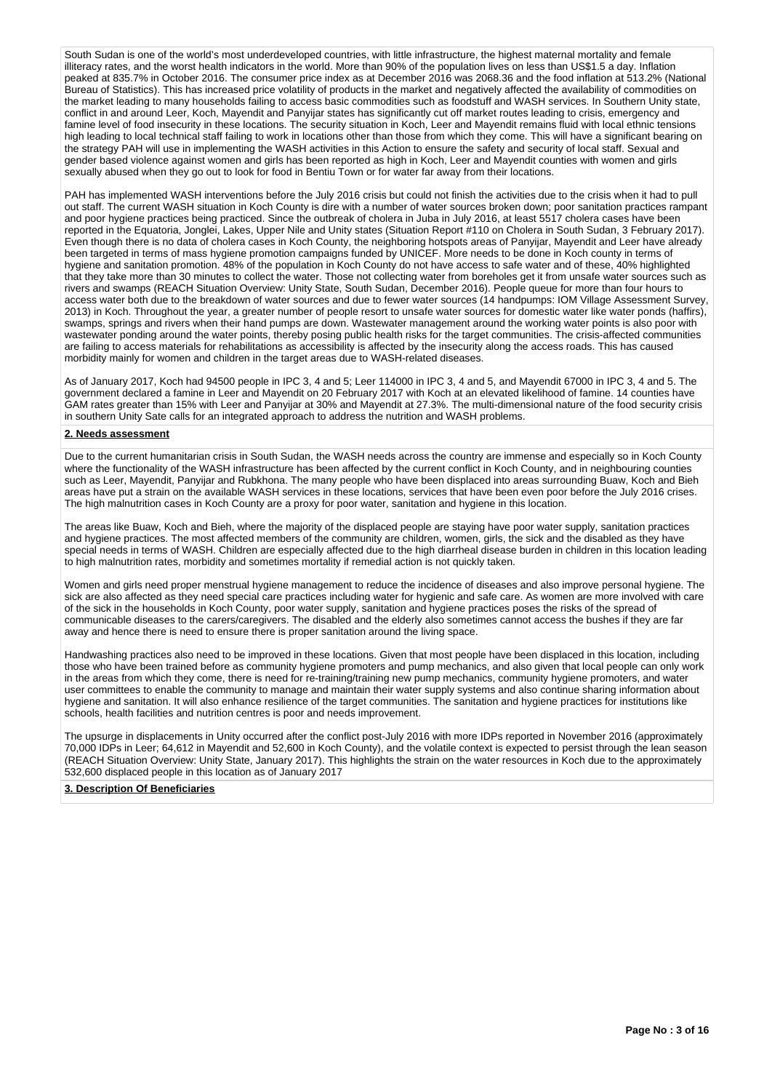South Sudan is one of the world's most underdeveloped countries, with little infrastructure, the highest maternal mortality and female illiteracy rates, and the worst health indicators in the world. More than 90% of the population lives on less than US\$1.5 a day. Inflation peaked at 835.7% in October 2016. The consumer price index as at December 2016 was 2068.36 and the food inflation at 513.2% (National Bureau of Statistics). This has increased price volatility of products in the market and negatively affected the availability of commodities on the market leading to many households failing to access basic commodities such as foodstuff and WASH services. In Southern Unity state, conflict in and around Leer, Koch, Mayendit and Panyijar states has significantly cut off market routes leading to crisis, emergency and famine level of food insecurity in these locations. The security situation in Koch, Leer and Mayendit remains fluid with local ethnic tensions high leading to local technical staff failing to work in locations other than those from which they come. This will have a significant bearing on the strategy PAH will use in implementing the WASH activities in this Action to ensure the safety and security of local staff. Sexual and gender based violence against women and girls has been reported as high in Koch, Leer and Mayendit counties with women and girls sexually abused when they go out to look for food in Bentiu Town or for water far away from their locations.

PAH has implemented WASH interventions before the July 2016 crisis but could not finish the activities due to the crisis when it had to pull out staff. The current WASH situation in Koch County is dire with a number of water sources broken down; poor sanitation practices rampant and poor hygiene practices being practiced. Since the outbreak of cholera in Juba in July 2016, at least 5517 cholera cases have been reported in the Equatoria, Jonglei, Lakes, Upper Nile and Unity states (Situation Report #110 on Cholera in South Sudan, 3 February 2017). Even though there is no data of cholera cases in Koch County, the neighboring hotspots areas of Panyijar, Mayendit and Leer have already been targeted in terms of mass hygiene promotion campaigns funded by UNICEF. More needs to be done in Koch county in terms of hygiene and sanitation promotion. 48% of the population in Koch County do not have access to safe water and of these, 40% highlighted that they take more than 30 minutes to collect the water. Those not collecting water from boreholes get it from unsafe water sources such as rivers and swamps (REACH Situation Overview: Unity State, South Sudan, December 2016). People queue for more than four hours to access water both due to the breakdown of water sources and due to fewer water sources (14 handpumps: IOM Village Assessment Survey, 2013) in Koch. Throughout the year, a greater number of people resort to unsafe water sources for domestic water like water ponds (haffirs), swamps, springs and rivers when their hand pumps are down. Wastewater management around the working water points is also poor with wastewater ponding around the water points, thereby posing public health risks for the target communities. The crisis-affected communities are failing to access materials for rehabilitations as accessibility is affected by the insecurity along the access roads. This has caused morbidity mainly for women and children in the target areas due to WASH-related diseases.

As of January 2017, Koch had 94500 people in IPC 3, 4 and 5; Leer 114000 in IPC 3, 4 and 5, and Mayendit 67000 in IPC 3, 4 and 5. The government declared a famine in Leer and Mayendit on 20 February 2017 with Koch at an elevated likelihood of famine. 14 counties have GAM rates greater than 15% with Leer and Panyijar at 30% and Mayendit at 27.3%. The multi-dimensional nature of the food security crisis in southern Unity Sate calls for an integrated approach to address the nutrition and WASH problems.

#### **2. Needs assessment**

Due to the current humanitarian crisis in South Sudan, the WASH needs across the country are immense and especially so in Koch County where the functionality of the WASH infrastructure has been affected by the current conflict in Koch County, and in neighbouring counties such as Leer, Mayendit, Panyijar and Rubkhona. The many people who have been displaced into areas surrounding Buaw, Koch and Bieh areas have put a strain on the available WASH services in these locations, services that have been even poor before the July 2016 crises. The high malnutrition cases in Koch County are a proxy for poor water, sanitation and hygiene in this location.

The areas like Buaw, Koch and Bieh, where the majority of the displaced people are staying have poor water supply, sanitation practices and hygiene practices. The most affected members of the community are children, women, girls, the sick and the disabled as they have special needs in terms of WASH. Children are especially affected due to the high diarrheal disease burden in children in this location leading to high malnutrition rates, morbidity and sometimes mortality if remedial action is not quickly taken.

Women and girls need proper menstrual hygiene management to reduce the incidence of diseases and also improve personal hygiene. The sick are also affected as they need special care practices including water for hygienic and safe care. As women are more involved with care of the sick in the households in Koch County, poor water supply, sanitation and hygiene practices poses the risks of the spread of communicable diseases to the carers/caregivers. The disabled and the elderly also sometimes cannot access the bushes if they are far away and hence there is need to ensure there is proper sanitation around the living space.

Handwashing practices also need to be improved in these locations. Given that most people have been displaced in this location, including those who have been trained before as community hygiene promoters and pump mechanics, and also given that local people can only work in the areas from which they come, there is need for re-training/training new pump mechanics, community hygiene promoters, and water user committees to enable the community to manage and maintain their water supply systems and also continue sharing information about hygiene and sanitation. It will also enhance resilience of the target communities. The sanitation and hygiene practices for institutions like schools, health facilities and nutrition centres is poor and needs improvement.

The upsurge in displacements in Unity occurred after the conflict post-July 2016 with more IDPs reported in November 2016 (approximately 70,000 IDPs in Leer; 64,612 in Mayendit and 52,600 in Koch County), and the volatile context is expected to persist through the lean season (REACH Situation Overview: Unity State, January 2017). This highlights the strain on the water resources in Koch due to the approximately 532,600 displaced people in this location as of January 2017

#### **3. Description Of Beneficiaries**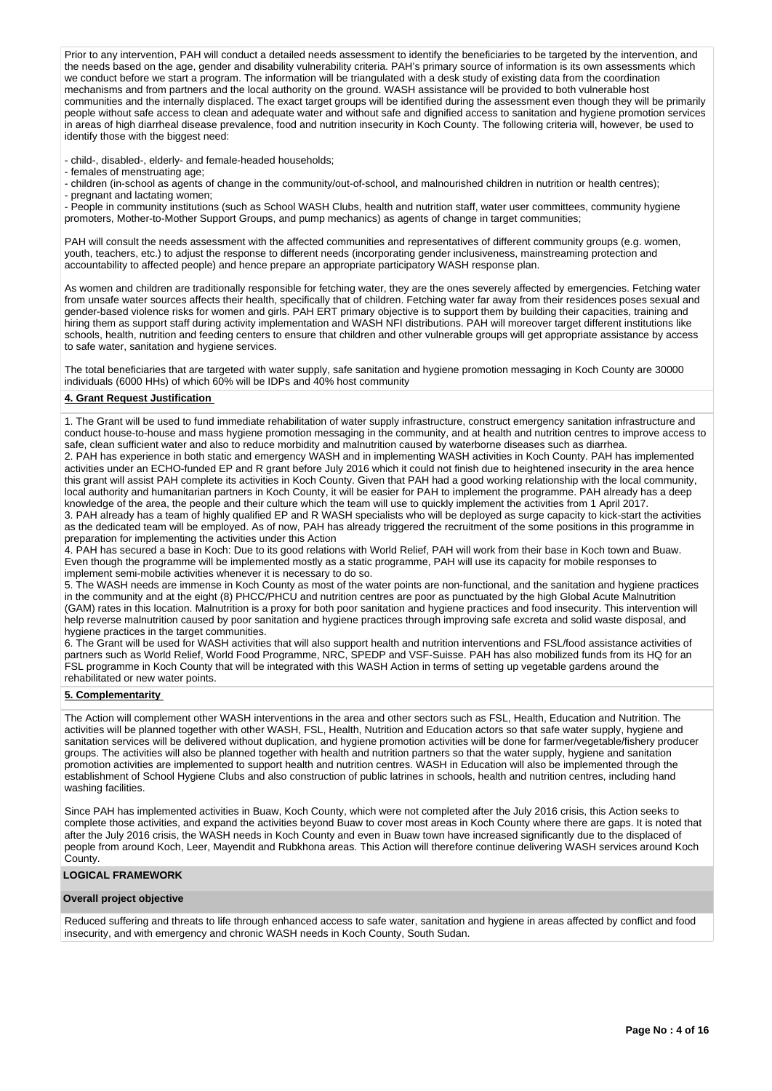Prior to any intervention, PAH will conduct a detailed needs assessment to identify the beneficiaries to be targeted by the intervention, and the needs based on the age, gender and disability vulnerability criteria. PAH's primary source of information is its own assessments which we conduct before we start a program. The information will be triangulated with a desk study of existing data from the coordination mechanisms and from partners and the local authority on the ground. WASH assistance will be provided to both vulnerable host communities and the internally displaced. The exact target groups will be identified during the assessment even though they will be primarily people without safe access to clean and adequate water and without safe and dignified access to sanitation and hygiene promotion services in areas of high diarrheal disease prevalence, food and nutrition insecurity in Koch County. The following criteria will, however, be used to identify those with the biggest need:

- child-, disabled-, elderly- and female-headed households;

- females of menstruating age;

- children (in-school as agents of change in the community/out-of-school, and malnourished children in nutrition or health centres);

- pregnant and lactating women;

- People in community institutions (such as School WASH Clubs, health and nutrition staff, water user committees, community hygiene promoters, Mother-to-Mother Support Groups, and pump mechanics) as agents of change in target communities;

PAH will consult the needs assessment with the affected communities and representatives of different community groups (e.g. women, youth, teachers, etc.) to adjust the response to different needs (incorporating gender inclusiveness, mainstreaming protection and accountability to affected people) and hence prepare an appropriate participatory WASH response plan.

As women and children are traditionally responsible for fetching water, they are the ones severely affected by emergencies. Fetching water from unsafe water sources affects their health, specifically that of children. Fetching water far away from their residences poses sexual and gender-based violence risks for women and girls. PAH ERT primary objective is to support them by building their capacities, training and hiring them as support staff during activity implementation and WASH NFI distributions. PAH will moreover target different institutions like schools, health, nutrition and feeding centers to ensure that children and other vulnerable groups will get appropriate assistance by access to safe water, sanitation and hygiene services.

The total beneficiaries that are targeted with water supply, safe sanitation and hygiene promotion messaging in Koch County are 30000 individuals (6000 HHs) of which 60% will be IDPs and 40% host community

#### **4. Grant Request Justification**

1. The Grant will be used to fund immediate rehabilitation of water supply infrastructure, construct emergency sanitation infrastructure and conduct house-to-house and mass hygiene promotion messaging in the community, and at health and nutrition centres to improve access to safe, clean sufficient water and also to reduce morbidity and malnutrition caused by waterborne diseases such as diarrhea. 2. PAH has experience in both static and emergency WASH and in implementing WASH activities in Koch County. PAH has implemented activities under an ECHO-funded EP and R grant before July 2016 which it could not finish due to heightened insecurity in the area hence this grant will assist PAH complete its activities in Koch County. Given that PAH had a good working relationship with the local community, local authority and humanitarian partners in Koch County, it will be easier for PAH to implement the programme. PAH already has a deep knowledge of the area, the people and their culture which the team will use to quickly implement the activities from 1 April 2017.

3. PAH already has a team of highly qualified EP and R WASH specialists who will be deployed as surge capacity to kick-start the activities as the dedicated team will be employed. As of now, PAH has already triggered the recruitment of the some positions in this programme in preparation for implementing the activities under this Action

4. PAH has secured a base in Koch: Due to its good relations with World Relief, PAH will work from their base in Koch town and Buaw. Even though the programme will be implemented mostly as a static programme, PAH will use its capacity for mobile responses to implement semi-mobile activities whenever it is necessary to do so.

5. The WASH needs are immense in Koch County as most of the water points are non-functional, and the sanitation and hygiene practices in the community and at the eight (8) PHCC/PHCU and nutrition centres are poor as punctuated by the high Global Acute Malnutrition (GAM) rates in this location. Malnutrition is a proxy for both poor sanitation and hygiene practices and food insecurity. This intervention will help reverse malnutrition caused by poor sanitation and hygiene practices through improving safe excreta and solid waste disposal, and hygiene practices in the target communities.

6. The Grant will be used for WASH activities that will also support health and nutrition interventions and FSL/food assistance activities of partners such as World Relief, World Food Programme, NRC, SPEDP and VSF-Suisse. PAH has also mobilized funds from its HQ for an FSL programme in Koch County that will be integrated with this WASH Action in terms of setting up vegetable gardens around the rehabilitated or new water points.

#### **5. Complementarity**

The Action will complement other WASH interventions in the area and other sectors such as FSL, Health, Education and Nutrition. The activities will be planned together with other WASH, FSL, Health, Nutrition and Education actors so that safe water supply, hygiene and sanitation services will be delivered without duplication, and hygiene promotion activities will be done for farmer/vegetable/fishery producer groups. The activities will also be planned together with health and nutrition partners so that the water supply, hygiene and sanitation promotion activities are implemented to support health and nutrition centres. WASH in Education will also be implemented through the establishment of School Hygiene Clubs and also construction of public latrines in schools, health and nutrition centres, including hand washing facilities.

Since PAH has implemented activities in Buaw, Koch County, which were not completed after the July 2016 crisis, this Action seeks to complete those activities, and expand the activities beyond Buaw to cover most areas in Koch County where there are gaps. It is noted that after the July 2016 crisis, the WASH needs in Koch County and even in Buaw town have increased significantly due to the displaced of people from around Koch, Leer, Mayendit and Rubkhona areas. This Action will therefore continue delivering WASH services around Koch County.

## **LOGICAL FRAMEWORK**

# **Overall project objective**

Reduced suffering and threats to life through enhanced access to safe water, sanitation and hygiene in areas affected by conflict and food insecurity, and with emergency and chronic WASH needs in Koch County, South Sudan.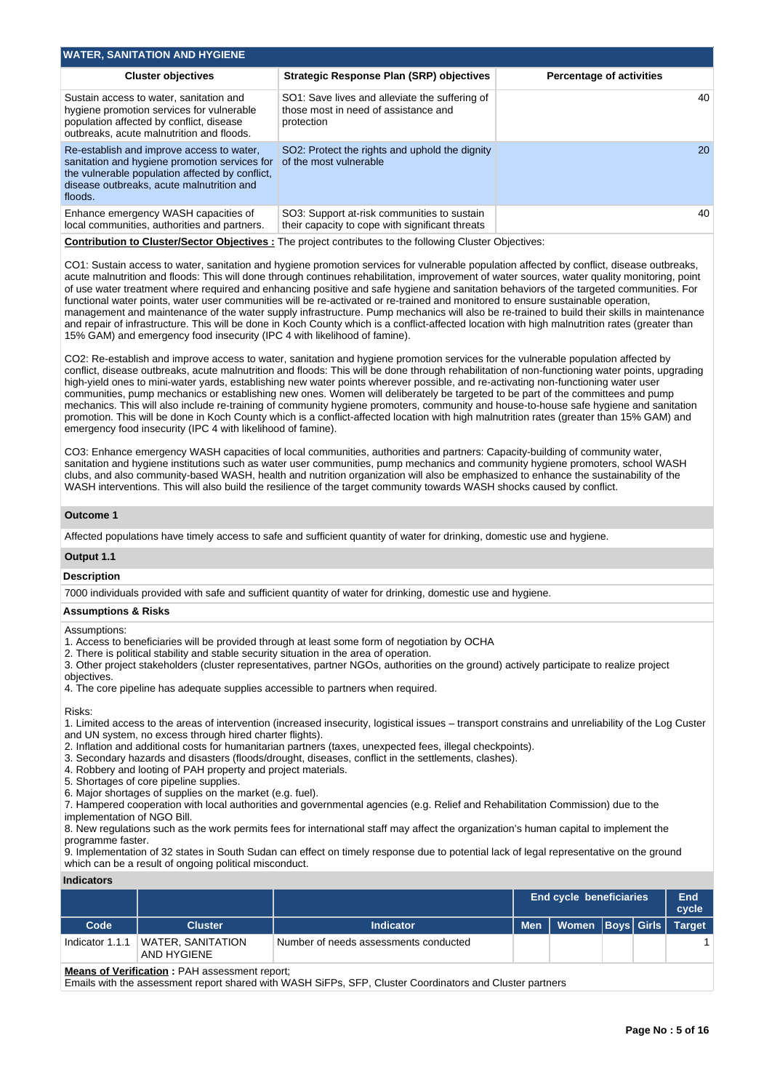| <b>WATER, SANITATION AND HYGIENE</b>                                                                                                                                                                  |                                                                                                      |                                 |
|-------------------------------------------------------------------------------------------------------------------------------------------------------------------------------------------------------|------------------------------------------------------------------------------------------------------|---------------------------------|
| <b>Cluster objectives</b>                                                                                                                                                                             | Strategic Response Plan (SRP) objectives                                                             | <b>Percentage of activities</b> |
| Sustain access to water, sanitation and<br>hygiene promotion services for vulnerable<br>population affected by conflict, disease<br>outbreaks, acute malnutrition and floods.                         | SO1: Save lives and alleviate the suffering of<br>those most in need of assistance and<br>protection | 40                              |
| Re-establish and improve access to water.<br>sanitation and hygiene promotion services for<br>the vulnerable population affected by conflict.<br>disease outbreaks, acute malnutrition and<br>floods. | SO2: Protect the rights and uphold the dignity<br>of the most vulnerable                             | 20                              |
| Enhance emergency WASH capacities of<br>local communities, authorities and partners.                                                                                                                  | SO3: Support at-risk communities to sustain<br>their capacity to cope with significant threats       | 40                              |
|                                                                                                                                                                                                       |                                                                                                      |                                 |

**Contribution to Cluster/Sector Objectives :** The project contributes to the following Cluster Objectives:

CO1: Sustain access to water, sanitation and hygiene promotion services for vulnerable population affected by conflict, disease outbreaks, acute malnutrition and floods: This will done through continues rehabilitation, improvement of water sources, water quality monitoring, point of use water treatment where required and enhancing positive and safe hygiene and sanitation behaviors of the targeted communities. For functional water points, water user communities will be re-activated or re-trained and monitored to ensure sustainable operation, management and maintenance of the water supply infrastructure. Pump mechanics will also be re-trained to build their skills in maintenance and repair of infrastructure. This will be done in Koch County which is a conflict-affected location with high malnutrition rates (greater than 15% GAM) and emergency food insecurity (IPC 4 with likelihood of famine).

CO2: Re-establish and improve access to water, sanitation and hygiene promotion services for the vulnerable population affected by conflict, disease outbreaks, acute malnutrition and floods: This will be done through rehabilitation of non-functioning water points, upgrading high-yield ones to mini-water yards, establishing new water points wherever possible, and re-activating non-functioning water user communities, pump mechanics or establishing new ones. Women will deliberately be targeted to be part of the committees and pump mechanics. This will also include re-training of community hygiene promoters, community and house-to-house safe hygiene and sanitation promotion. This will be done in Koch County which is a conflict-affected location with high malnutrition rates (greater than 15% GAM) and emergency food insecurity (IPC 4 with likelihood of famine).

CO3: Enhance emergency WASH capacities of local communities, authorities and partners: Capacity-building of community water, sanitation and hygiene institutions such as water user communities, pump mechanics and community hygiene promoters, school WASH clubs, and also community-based WASH, health and nutrition organization will also be emphasized to enhance the sustainability of the WASH interventions. This will also build the resilience of the target community towards WASH shocks caused by conflict.

#### **Outcome 1**

Affected populations have timely access to safe and sufficient quantity of water for drinking, domestic use and hygiene.

## **Output 1.1**

#### **Description**

7000 individuals provided with safe and sufficient quantity of water for drinking, domestic use and hygiene.

#### **Assumptions & Risks**

Assumptions:

1. Access to beneficiaries will be provided through at least some form of negotiation by OCHA

2. There is political stability and stable security situation in the area of operation.

3. Other project stakeholders (cluster representatives, partner NGOs, authorities on the ground) actively participate to realize project objectives.

4. The core pipeline has adequate supplies accessible to partners when required.

Risks:

1. Limited access to the areas of intervention (increased insecurity, logistical issues – transport constrains and unreliability of the Log Custer and UN system, no excess through hired charter flights).

- 2. Inflation and additional costs for humanitarian partners (taxes, unexpected fees, illegal checkpoints).
- 3. Secondary hazards and disasters (floods/drought, diseases, conflict in the settlements, clashes).
- 4. Robbery and looting of PAH property and project materials.
- 5. Shortages of core pipeline supplies.
- 6. Major shortages of supplies on the market (e.g. fuel).

7. Hampered cooperation with local authorities and governmental agencies (e.g. Relief and Rehabilitation Commission) due to the implementation of NGO Bill.

8. New regulations such as the work permits fees for international staff may affect the organization's human capital to implement the programme faster.

9. Implementation of 32 states in South Sudan can effect on timely response due to potential lack of legal representative on the ground which can be a result of ongoing political misconduct.

#### **Indicators**

|                 |                                         |                                       |            | <b>End cycle beneficiaries</b> |  |  |  |  |
|-----------------|-----------------------------------------|---------------------------------------|------------|--------------------------------|--|--|--|--|
| Code            | <b>Cluster</b>                          | <b>Indicator</b>                      | <b>Men</b> | Women   Boys   Girls   Target  |  |  |  |  |
| Indicator 1.1.1 | <b>WATER, SANITATION</b><br>AND HYGIENE | Number of needs assessments conducted |            |                                |  |  |  |  |

#### **Means of Verification : PAH assessment report;**

Emails with the assessment report shared with WASH SiFPs, SFP, Cluster Coordinators and Cluster partners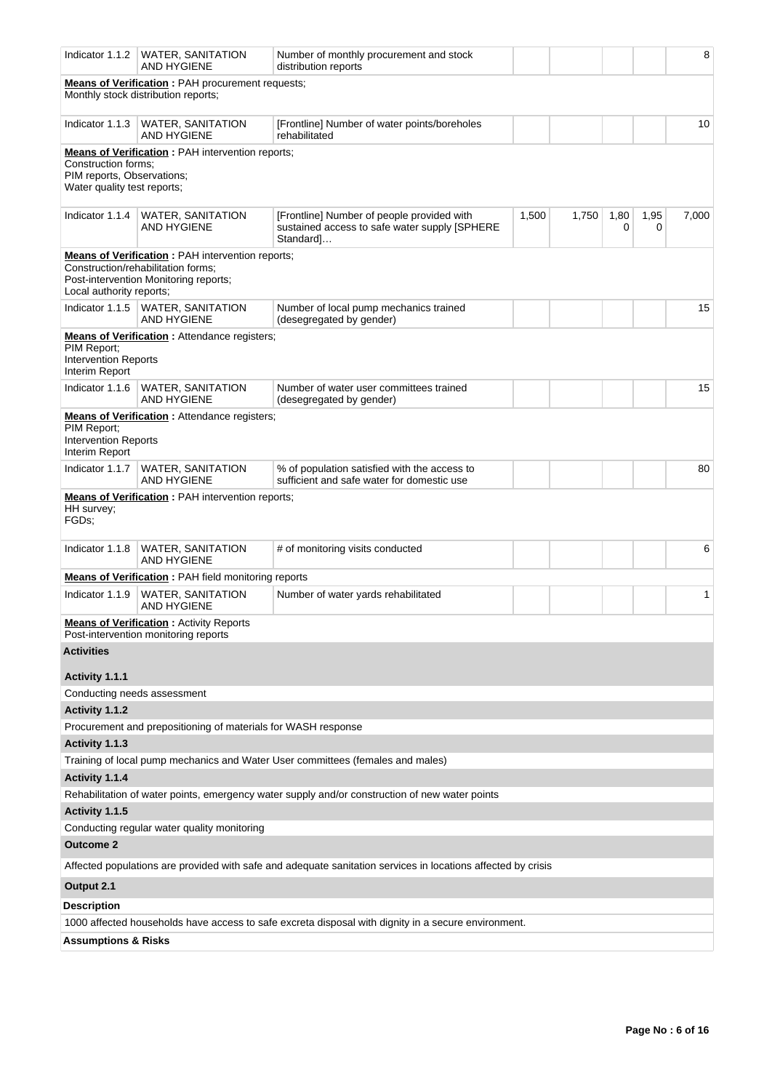| Indicator 1.1.2                                                                                                                                                    | <b>WATER, SANITATION</b><br><b>AND HYGIENE</b>                                                  | Number of monthly procurement and stock<br>distribution reports                                              |       |       |           |                     | 8     |  |  |  |
|--------------------------------------------------------------------------------------------------------------------------------------------------------------------|-------------------------------------------------------------------------------------------------|--------------------------------------------------------------------------------------------------------------|-------|-------|-----------|---------------------|-------|--|--|--|
|                                                                                                                                                                    | <b>Means of Verification</b> : PAH procurement requests;<br>Monthly stock distribution reports; |                                                                                                              |       |       |           |                     |       |  |  |  |
| Indicator 1.1.3                                                                                                                                                    | <b>WATER, SANITATION</b><br><b>AND HYGIENE</b>                                                  | [Frontline] Number of water points/boreholes<br>rehabilitated                                                |       |       |           |                     | 10    |  |  |  |
| <b>Means of Verification:</b> PAH intervention reports;<br>Construction forms:<br>PIM reports, Observations;<br>Water quality test reports;                        |                                                                                                 |                                                                                                              |       |       |           |                     |       |  |  |  |
| Indicator 1.1.4                                                                                                                                                    | <b>WATER, SANITATION</b><br><b>AND HYGIENE</b>                                                  | [Frontline] Number of people provided with<br>sustained access to safe water supply [SPHERE<br>Standard]     | 1,500 | 1,750 | 1,80<br>0 | 1,95<br>$\mathbf 0$ | 7,000 |  |  |  |
| <b>Means of Verification:</b> PAH intervention reports;<br>Construction/rehabilitation forms;<br>Post-intervention Monitoring reports;<br>Local authority reports; |                                                                                                 |                                                                                                              |       |       |           |                     |       |  |  |  |
| Indicator 1.1.5                                                                                                                                                    | <b>WATER, SANITATION</b><br><b>AND HYGIENE</b>                                                  | Number of local pump mechanics trained<br>(desegregated by gender)                                           |       |       |           |                     | 15    |  |  |  |
| <b>Means of Verification:</b> Attendance registers;<br>PIM Report;<br><b>Intervention Reports</b><br>Interim Report                                                |                                                                                                 |                                                                                                              |       |       |           |                     |       |  |  |  |
| Indicator 1.1.6                                                                                                                                                    | <b>WATER, SANITATION</b><br><b>AND HYGIENE</b>                                                  | Number of water user committees trained<br>(desegregated by gender)                                          |       |       |           |                     | 15    |  |  |  |
| PIM Report;<br><b>Intervention Reports</b><br>Interim Report                                                                                                       | <b>Means of Verification :</b> Attendance registers;                                            |                                                                                                              |       |       |           |                     |       |  |  |  |
| Indicator 1.1.7                                                                                                                                                    | <b>WATER, SANITATION</b><br><b>AND HYGIENE</b>                                                  | % of population satisfied with the access to<br>sufficient and safe water for domestic use                   |       |       |           |                     | 80    |  |  |  |
| HH survey;<br>FGDs;                                                                                                                                                | <b>Means of Verification:</b> PAH intervention reports;                                         |                                                                                                              |       |       |           |                     |       |  |  |  |
| Indicator 1.1.8                                                                                                                                                    | WATER, SANITATION<br><b>AND HYGIENE</b>                                                         | # of monitoring visits conducted                                                                             |       |       |           |                     | 6     |  |  |  |
|                                                                                                                                                                    | <b>Means of Verification:</b> PAH field monitoring reports                                      |                                                                                                              |       |       |           |                     |       |  |  |  |
| Indicator 1.1.9                                                                                                                                                    | <b>WATER, SANITATION</b><br><b>AND HYGIENE</b>                                                  | Number of water yards rehabilitated                                                                          |       |       |           |                     | 1     |  |  |  |
|                                                                                                                                                                    | <b>Means of Verification:</b> Activity Reports<br>Post-intervention monitoring reports          |                                                                                                              |       |       |           |                     |       |  |  |  |
| <b>Activities</b>                                                                                                                                                  |                                                                                                 |                                                                                                              |       |       |           |                     |       |  |  |  |
| Activity 1.1.1                                                                                                                                                     |                                                                                                 |                                                                                                              |       |       |           |                     |       |  |  |  |
| Conducting needs assessment                                                                                                                                        |                                                                                                 |                                                                                                              |       |       |           |                     |       |  |  |  |
| Activity 1.1.2                                                                                                                                                     |                                                                                                 |                                                                                                              |       |       |           |                     |       |  |  |  |
|                                                                                                                                                                    | Procurement and prepositioning of materials for WASH response                                   |                                                                                                              |       |       |           |                     |       |  |  |  |
| Activity 1.1.3                                                                                                                                                     |                                                                                                 |                                                                                                              |       |       |           |                     |       |  |  |  |
|                                                                                                                                                                    |                                                                                                 | Training of local pump mechanics and Water User committees (females and males)                               |       |       |           |                     |       |  |  |  |
| Activity 1.1.4                                                                                                                                                     |                                                                                                 |                                                                                                              |       |       |           |                     |       |  |  |  |
|                                                                                                                                                                    |                                                                                                 | Rehabilitation of water points, emergency water supply and/or construction of new water points               |       |       |           |                     |       |  |  |  |
| Activity 1.1.5                                                                                                                                                     |                                                                                                 |                                                                                                              |       |       |           |                     |       |  |  |  |
| <b>Outcome 2</b>                                                                                                                                                   | Conducting regular water quality monitoring                                                     |                                                                                                              |       |       |           |                     |       |  |  |  |
|                                                                                                                                                                    |                                                                                                 | Affected populations are provided with safe and adequate sanitation services in locations affected by crisis |       |       |           |                     |       |  |  |  |
| Output 2.1                                                                                                                                                         |                                                                                                 |                                                                                                              |       |       |           |                     |       |  |  |  |
| <b>Description</b>                                                                                                                                                 |                                                                                                 |                                                                                                              |       |       |           |                     |       |  |  |  |
|                                                                                                                                                                    |                                                                                                 | 1000 affected households have access to safe excreta disposal with dignity in a secure environment.          |       |       |           |                     |       |  |  |  |
| <b>Assumptions &amp; Risks</b>                                                                                                                                     |                                                                                                 |                                                                                                              |       |       |           |                     |       |  |  |  |
|                                                                                                                                                                    |                                                                                                 |                                                                                                              |       |       |           |                     |       |  |  |  |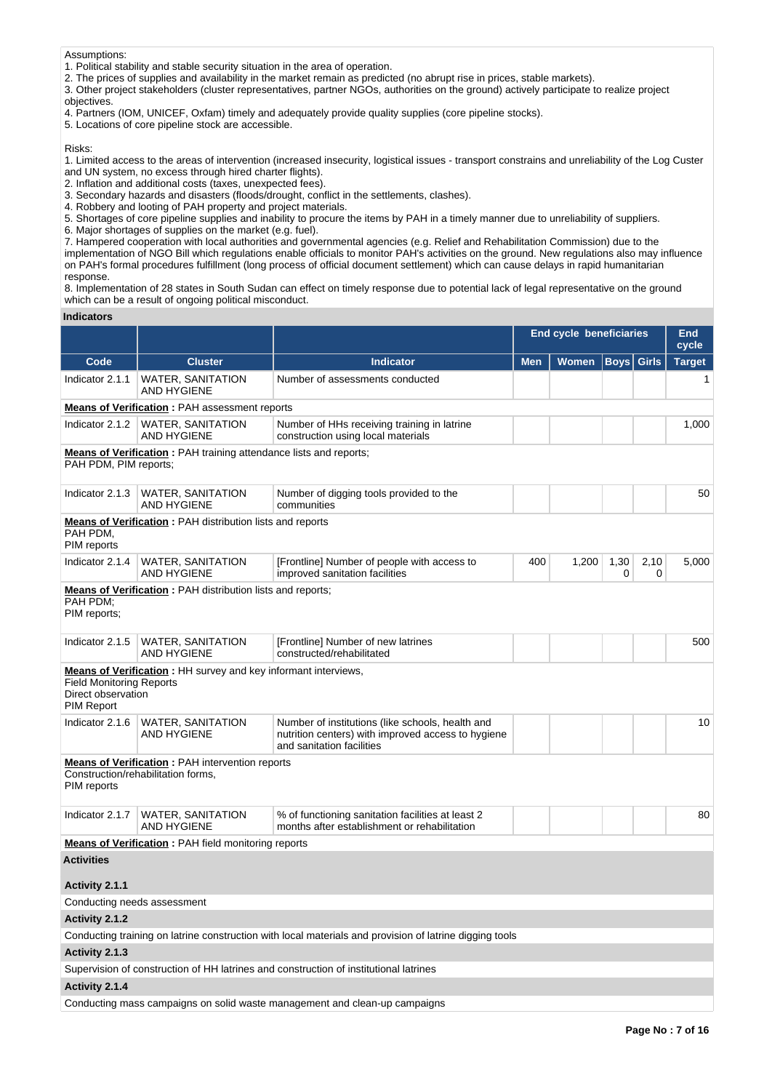Assumptions:

1. Political stability and stable security situation in the area of operation.

2. The prices of supplies and availability in the market remain as predicted (no abrupt rise in prices, stable markets).

3. Other project stakeholders (cluster representatives, partner NGOs, authorities on the ground) actively participate to realize project objectives.

4. Partners (IOM, UNICEF, Oxfam) timely and adequately provide quality supplies (core pipeline stocks).

5. Locations of core pipeline stock are accessible.

Risks:

1. Limited access to the areas of intervention (increased insecurity, logistical issues - transport constrains and unreliability of the Log Custer and UN system, no excess through hired charter flights).

2. Inflation and additional costs (taxes, unexpected fees).

3. Secondary hazards and disasters (floods/drought, conflict in the settlements, clashes).

4. Robbery and looting of PAH property and project materials.

5. Shortages of core pipeline supplies and inability to procure the items by PAH in a timely manner due to unreliability of suppliers.

6. Major shortages of supplies on the market (e.g. fuel).

7. Hampered cooperation with local authorities and governmental agencies (e.g. Relief and Rehabilitation Commission) due to the

implementation of NGO Bill which regulations enable officials to monitor PAH's activities on the ground. New regulations also may influence on PAH's formal procedures fulfillment (long process of official document settlement) which can cause delays in rapid humanitarian response.

8. Implementation of 28 states in South Sudan can effect on timely response due to potential lack of legal representative on the ground which can be a result of ongoing political misconduct.

**Indicators**

|                                                                                             |                                                                                              |                                                                                                                                     | <b>End cycle beneficiaries</b> | <b>End</b><br>cycle |             |              |               |  |  |  |
|---------------------------------------------------------------------------------------------|----------------------------------------------------------------------------------------------|-------------------------------------------------------------------------------------------------------------------------------------|--------------------------------|---------------------|-------------|--------------|---------------|--|--|--|
| Code                                                                                        | <b>Cluster</b>                                                                               | <b>Indicator</b>                                                                                                                    | <b>Men</b>                     | Women               | <b>Boys</b> | <b>Girls</b> | <b>Target</b> |  |  |  |
| Indicator 2.1.1                                                                             | <b>WATER, SANITATION</b><br><b>AND HYGIENE</b>                                               | Number of assessments conducted                                                                                                     |                                |                     |             |              | 1             |  |  |  |
|                                                                                             | <b>Means of Verification: PAH assessment reports</b>                                         |                                                                                                                                     |                                |                     |             |              |               |  |  |  |
| Indicator 2.1.2                                                                             | <b>WATER, SANITATION</b><br>AND HYGIENE                                                      | Number of HHs receiving training in latrine<br>construction using local materials                                                   |                                |                     |             |              | 1,000         |  |  |  |
| PAH PDM, PIM reports;                                                                       | <b>Means of Verification:</b> PAH training attendance lists and reports;                     |                                                                                                                                     |                                |                     |             |              |               |  |  |  |
| Indicator 2.1.3                                                                             | <b>WATER, SANITATION</b><br><b>AND HYGIENE</b>                                               | Number of digging tools provided to the<br>communities                                                                              |                                |                     |             |              | 50            |  |  |  |
| <b>Means of Verification:</b> PAH distribution lists and reports<br>PAH PDM,<br>PIM reports |                                                                                              |                                                                                                                                     |                                |                     |             |              |               |  |  |  |
| Indicator 2.1.4                                                                             | WATER, SANITATION<br><b>AND HYGIENE</b>                                                      | [Frontline] Number of people with access to<br>improved sanitation facilities                                                       | 400                            | 1,200               | 1,30<br>0   | 2,10<br>0    | 5,000         |  |  |  |
| PAH PDM;<br>PIM reports;                                                                    | <b>Means of Verification: PAH distribution lists and reports;</b>                            |                                                                                                                                     |                                |                     |             |              |               |  |  |  |
| Indicator 2.1.5                                                                             | <b>WATER, SANITATION</b><br><b>AND HYGIENE</b>                                               | [Frontline] Number of new latrines<br>constructed/rehabilitated                                                                     |                                |                     |             |              | 500           |  |  |  |
| <b>Field Monitoring Reports</b><br>Direct observation<br><b>PIM Report</b>                  | <b>Means of Verification:</b> HH survey and key informant interviews,                        |                                                                                                                                     |                                |                     |             |              |               |  |  |  |
| Indicator 2.1.6                                                                             | <b>WATER, SANITATION</b><br><b>AND HYGIENE</b>                                               | Number of institutions (like schools, health and<br>nutrition centers) with improved access to hygiene<br>and sanitation facilities |                                |                     |             |              | 10            |  |  |  |
| PIM reports                                                                                 | <b>Means of Verification:</b> PAH intervention reports<br>Construction/rehabilitation forms, |                                                                                                                                     |                                |                     |             |              |               |  |  |  |
| Indicator 2.1.7                                                                             | <b>WATER, SANITATION</b><br><b>AND HYGIENE</b>                                               | % of functioning sanitation facilities at least 2<br>months after establishment or rehabilitation                                   |                                |                     |             |              | 80            |  |  |  |
|                                                                                             | <b>Means of Verification: PAH field monitoring reports</b>                                   |                                                                                                                                     |                                |                     |             |              |               |  |  |  |
| <b>Activities</b>                                                                           |                                                                                              |                                                                                                                                     |                                |                     |             |              |               |  |  |  |
| Activity 2.1.1                                                                              |                                                                                              |                                                                                                                                     |                                |                     |             |              |               |  |  |  |
| Conducting needs assessment                                                                 |                                                                                              |                                                                                                                                     |                                |                     |             |              |               |  |  |  |
| Activity 2.1.2                                                                              |                                                                                              |                                                                                                                                     |                                |                     |             |              |               |  |  |  |
|                                                                                             |                                                                                              | Conducting training on latrine construction with local materials and provision of latrine digging tools                             |                                |                     |             |              |               |  |  |  |
| Activity 2.1.3                                                                              |                                                                                              |                                                                                                                                     |                                |                     |             |              |               |  |  |  |
|                                                                                             |                                                                                              | Supervision of construction of HH latrines and construction of institutional latrines                                               |                                |                     |             |              |               |  |  |  |
| Activity 2.1.4                                                                              |                                                                                              |                                                                                                                                     |                                |                     |             |              |               |  |  |  |
|                                                                                             |                                                                                              | Conducting mass campaigns on solid waste management and clean-up campaigns                                                          |                                |                     |             |              |               |  |  |  |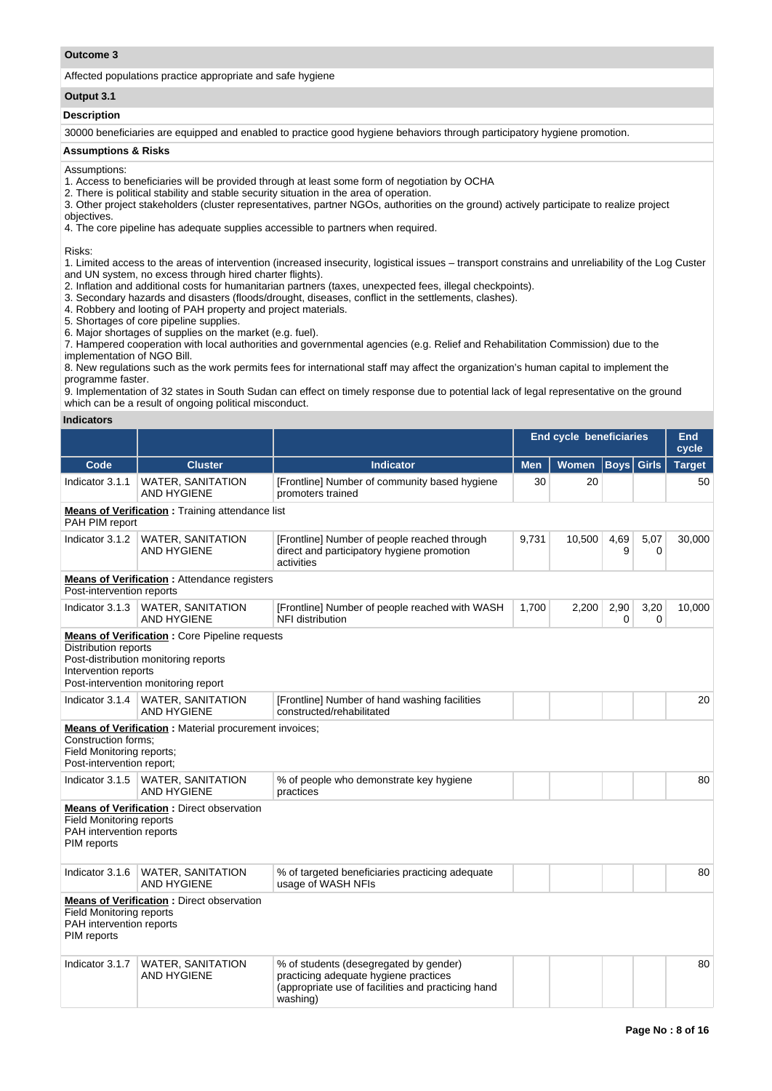## **Outcome 3**

Affected populations practice appropriate and safe hygiene

## **Output 3.1**

## **Description**

30000 beneficiaries are equipped and enabled to practice good hygiene behaviors through participatory hygiene promotion.

## **Assumptions & Risks**

# Assumptions:

1. Access to beneficiaries will be provided through at least some form of negotiation by OCHA

2. There is political stability and stable security situation in the area of operation.

3. Other project stakeholders (cluster representatives, partner NGOs, authorities on the ground) actively participate to realize project objectives.

4. The core pipeline has adequate supplies accessible to partners when required.

Risks:

1. Limited access to the areas of intervention (increased insecurity, logistical issues – transport constrains and unreliability of the Log Custer and UN system, no excess through hired charter flights).

2. Inflation and additional costs for humanitarian partners (taxes, unexpected fees, illegal checkpoints).

3. Secondary hazards and disasters (floods/drought, diseases, conflict in the settlements, clashes).

- 4. Robbery and looting of PAH property and project materials.
- 5. Shortages of core pipeline supplies.

6. Major shortages of supplies on the market (e.g. fuel).

7. Hampered cooperation with local authorities and governmental agencies (e.g. Relief and Rehabilitation Commission) due to the implementation of NGO Bill.

8. New regulations such as the work permits fees for international staff may affect the organization's human capital to implement the programme faster.

9. Implementation of 32 states in South Sudan can effect on timely response due to potential lack of legal representative on the ground which can be a result of ongoing political misconduct.

#### **Indicators**

|                                                                               |                                                                                                                                     |                                                                                                                                                   | <b>End cycle beneficiaries</b> | <b>End</b><br>cycle |             |              |               |
|-------------------------------------------------------------------------------|-------------------------------------------------------------------------------------------------------------------------------------|---------------------------------------------------------------------------------------------------------------------------------------------------|--------------------------------|---------------------|-------------|--------------|---------------|
| Code                                                                          | <b>Cluster</b>                                                                                                                      | <b>Indicator</b>                                                                                                                                  | <b>Men</b>                     | <b>Women</b>        | <b>Boys</b> | <b>Girls</b> | <b>Target</b> |
| Indicator 3.1.1                                                               | <b>WATER, SANITATION</b><br><b>AND HYGIENE</b>                                                                                      | [Frontline] Number of community based hygiene<br>promoters trained                                                                                | 30                             | 20                  |             |              | 50            |
| PAH PIM report                                                                | <b>Means of Verification:</b> Training attendance list                                                                              |                                                                                                                                                   |                                |                     |             |              |               |
| Indicator 3.1.2                                                               | <b>WATER, SANITATION</b><br><b>AND HYGIENE</b>                                                                                      | [Frontline] Number of people reached through<br>direct and participatory hygiene promotion<br>activities                                          | 9,731                          | 10,500              | 4,69<br>9   | 5,07<br>0    | 30,000        |
| Post-intervention reports                                                     | <b>Means of Verification:</b> Attendance registers                                                                                  |                                                                                                                                                   |                                |                     |             |              |               |
| Indicator 3.1.3                                                               | <b>WATER, SANITATION</b><br><b>AND HYGIENE</b>                                                                                      | [Frontline] Number of people reached with WASH<br>NFI distribution                                                                                | 1,700                          | 2,200               | 2,90<br>0   | 3,20<br>0    | 10,000        |
| <b>Distribution reports</b><br>Intervention reports                           | <b>Means of Verification:</b> Core Pipeline requests<br>Post-distribution monitoring reports<br>Post-intervention monitoring report |                                                                                                                                                   |                                |                     |             |              |               |
| Indicator 3.1.4                                                               | <b>WATER, SANITATION</b><br><b>AND HYGIENE</b>                                                                                      | [Frontline] Number of hand washing facilities<br>constructed/rehabilitated                                                                        |                                |                     |             |              | 20            |
| Construction forms;<br>Field Monitoring reports;<br>Post-intervention report; | <b>Means of Verification:</b> Material procurement invoices;                                                                        |                                                                                                                                                   |                                |                     |             |              |               |
| Indicator 3.1.5                                                               | <b>WATER, SANITATION</b><br><b>AND HYGIENE</b>                                                                                      | % of people who demonstrate key hygiene<br>practices                                                                                              |                                |                     |             |              | 80            |
| <b>Field Monitoring reports</b><br>PAH intervention reports<br>PIM reports    | <b>Means of Verification:</b> Direct observation                                                                                    |                                                                                                                                                   |                                |                     |             |              |               |
| Indicator 3.1.6                                                               | <b>WATER, SANITATION</b><br><b>AND HYGIENE</b>                                                                                      | % of targeted beneficiaries practicing adequate<br>usage of WASH NFIs                                                                             |                                |                     |             |              | 80            |
| <b>Field Monitoring reports</b><br>PAH intervention reports<br>PIM reports    | <b>Means of Verification:</b> Direct observation                                                                                    |                                                                                                                                                   |                                |                     |             |              |               |
| Indicator 3.1.7                                                               | <b>WATER, SANITATION</b><br><b>AND HYGIENE</b>                                                                                      | % of students (desegregated by gender)<br>practicing adequate hygiene practices<br>(appropriate use of facilities and practicing hand<br>washing) |                                |                     |             |              | 80            |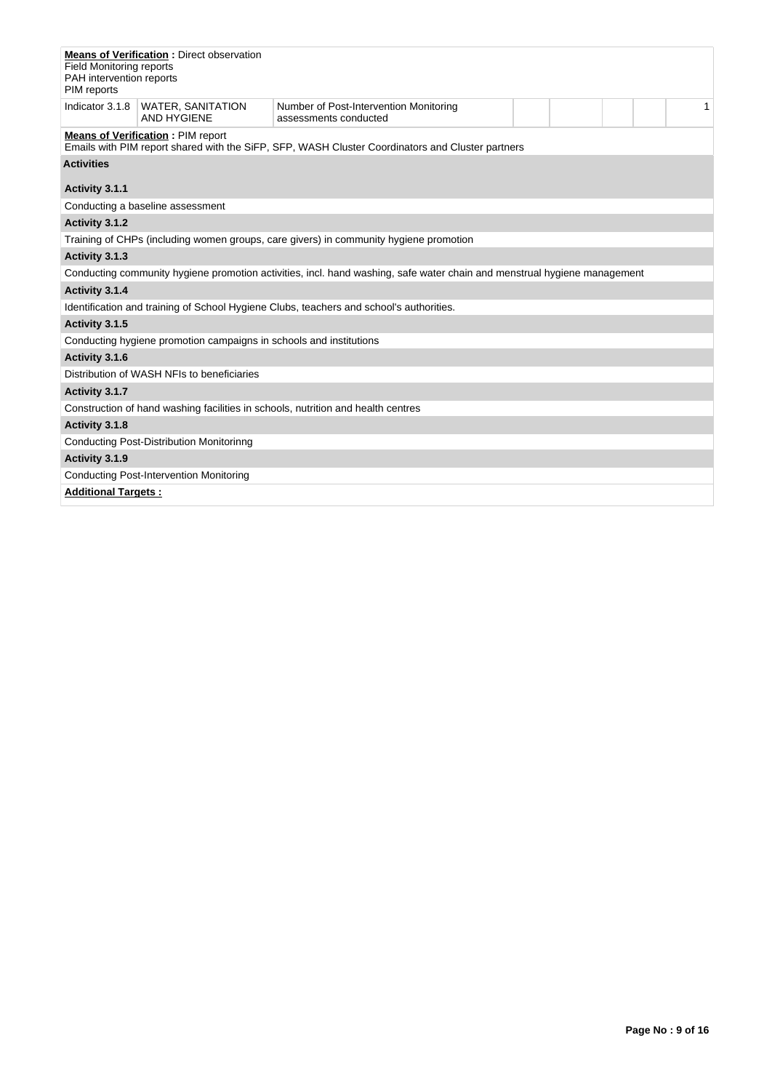| <b>Field Monitoring reports</b><br>PAH intervention reports<br>PIM reports            | <b>Means of Verification: Direct observation</b>                   |                                                                                                                          |  |  |  |  |              |  |  |
|---------------------------------------------------------------------------------------|--------------------------------------------------------------------|--------------------------------------------------------------------------------------------------------------------------|--|--|--|--|--------------|--|--|
| Indicator 3.1.8                                                                       | <b>WATER, SANITATION</b><br><b>AND HYGIENE</b>                     | Number of Post-Intervention Monitoring<br>assessments conducted                                                          |  |  |  |  | $\mathbf{1}$ |  |  |
|                                                                                       | <b>Means of Verification: PIM report</b>                           | Emails with PIM report shared with the SiFP, SFP, WASH Cluster Coordinators and Cluster partners                         |  |  |  |  |              |  |  |
| <b>Activities</b>                                                                     |                                                                    |                                                                                                                          |  |  |  |  |              |  |  |
| Activity 3.1.1                                                                        |                                                                    |                                                                                                                          |  |  |  |  |              |  |  |
|                                                                                       | Conducting a baseline assessment                                   |                                                                                                                          |  |  |  |  |              |  |  |
| Activity 3.1.2                                                                        |                                                                    |                                                                                                                          |  |  |  |  |              |  |  |
| Training of CHPs (including women groups, care givers) in community hygiene promotion |                                                                    |                                                                                                                          |  |  |  |  |              |  |  |
| Activity 3.1.3                                                                        |                                                                    |                                                                                                                          |  |  |  |  |              |  |  |
|                                                                                       |                                                                    | Conducting community hygiene promotion activities, incl. hand washing, safe water chain and menstrual hygiene management |  |  |  |  |              |  |  |
| Activity 3.1.4                                                                        |                                                                    |                                                                                                                          |  |  |  |  |              |  |  |
|                                                                                       |                                                                    | Identification and training of School Hygiene Clubs, teachers and school's authorities.                                  |  |  |  |  |              |  |  |
| Activity 3.1.5                                                                        |                                                                    |                                                                                                                          |  |  |  |  |              |  |  |
|                                                                                       | Conducting hygiene promotion campaigns in schools and institutions |                                                                                                                          |  |  |  |  |              |  |  |
| Activity 3.1.6                                                                        |                                                                    |                                                                                                                          |  |  |  |  |              |  |  |
|                                                                                       | Distribution of WASH NFIs to beneficiaries                         |                                                                                                                          |  |  |  |  |              |  |  |
| Activity 3.1.7                                                                        |                                                                    |                                                                                                                          |  |  |  |  |              |  |  |
|                                                                                       |                                                                    | Construction of hand washing facilities in schools, nutrition and health centres                                         |  |  |  |  |              |  |  |
| Activity 3.1.8                                                                        |                                                                    |                                                                                                                          |  |  |  |  |              |  |  |
|                                                                                       | Conducting Post-Distribution Monitorinng                           |                                                                                                                          |  |  |  |  |              |  |  |
| Activity 3.1.9                                                                        |                                                                    |                                                                                                                          |  |  |  |  |              |  |  |
|                                                                                       | <b>Conducting Post-Intervention Monitoring</b>                     |                                                                                                                          |  |  |  |  |              |  |  |
| <b>Additional Targets:</b>                                                            |                                                                    |                                                                                                                          |  |  |  |  |              |  |  |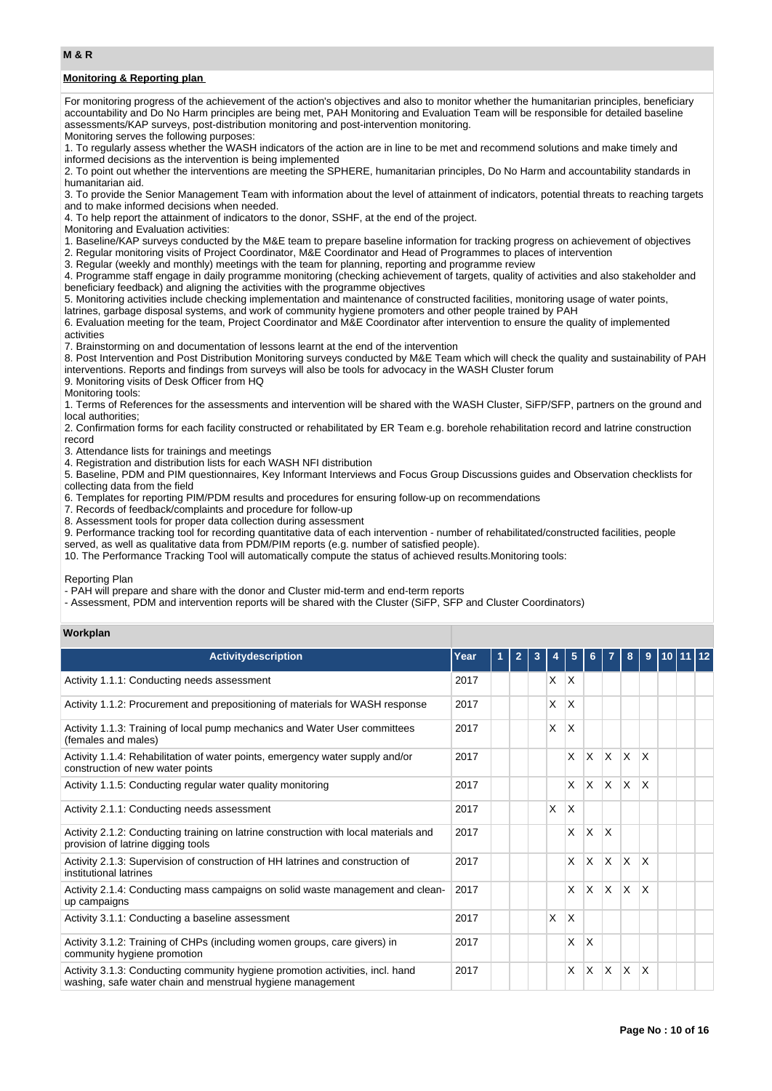## **M & R**

## **Monitoring & Reporting plan**

For monitoring progress of the achievement of the action's objectives and also to monitor whether the humanitarian principles, beneficiary accountability and Do No Harm principles are being met, PAH Monitoring and Evaluation Team will be responsible for detailed baseline assessments/KAP surveys, post-distribution monitoring and post-intervention monitoring.

Monitoring serves the following purposes:

1. To regularly assess whether the WASH indicators of the action are in line to be met and recommend solutions and make timely and informed decisions as the intervention is being implemented

2. To point out whether the interventions are meeting the SPHERE, humanitarian principles, Do No Harm and accountability standards in humanitarian aid.

3. To provide the Senior Management Team with information about the level of attainment of indicators, potential threats to reaching targets and to make informed decisions when needed.

4. To help report the attainment of indicators to the donor, SSHF, at the end of the project.

Monitoring and Evaluation activities:

1. Baseline/KAP surveys conducted by the M&E team to prepare baseline information for tracking progress on achievement of objectives

2. Regular monitoring visits of Project Coordinator, M&E Coordinator and Head of Programmes to places of intervention

3. Regular (weekly and monthly) meetings with the team for planning, reporting and programme review

4. Programme staff engage in daily programme monitoring (checking achievement of targets, quality of activities and also stakeholder and beneficiary feedback) and aligning the activities with the programme objectives

5. Monitoring activities include checking implementation and maintenance of constructed facilities, monitoring usage of water points, latrines, garbage disposal systems, and work of community hygiene promoters and other people trained by PAH

6. Evaluation meeting for the team, Project Coordinator and M&E Coordinator after intervention to ensure the quality of implemented activities

7. Brainstorming on and documentation of lessons learnt at the end of the intervention

8. Post Intervention and Post Distribution Monitoring surveys conducted by M&E Team which will check the quality and sustainability of PAH interventions. Reports and findings from surveys will also be tools for advocacy in the WASH Cluster forum

9. Monitoring visits of Desk Officer from HQ

Monitoring tools:

1. Terms of References for the assessments and intervention will be shared with the WASH Cluster, SiFP/SFP, partners on the ground and local authorities;

2. Confirmation forms for each facility constructed or rehabilitated by ER Team e.g. borehole rehabilitation record and latrine construction record

3. Attendance lists for trainings and meetings

4. Registration and distribution lists for each WASH NFI distribution

5. Baseline, PDM and PIM questionnaires, Key Informant Interviews and Focus Group Discussions guides and Observation checklists for collecting data from the field

6. Templates for reporting PIM/PDM results and procedures for ensuring follow-up on recommendations

7. Records of feedback/complaints and procedure for follow-up

8. Assessment tools for proper data collection during assessment

9. Performance tracking tool for recording quantitative data of each intervention - number of rehabilitated/constructed facilities, people

served, as well as qualitative data from PDM/PIM reports (e.g. number of satisfied people).

10. The Performance Tracking Tool will automatically compute the status of achieved results.Monitoring tools:

Reporting Plan

- PAH will prepare and share with the donor and Cluster mid-term and end-term reports

- Assessment, PDM and intervention reports will be shared with the Cluster (SiFP, SFP and Cluster Coordinators)

#### **Workplan**

| <b>Activitydescription</b>                                                                                                                  | Year |  | $\overline{2}$ | 3 |          | 5 | 6        |              | 8                       | 9               | 10111 |  |  |
|---------------------------------------------------------------------------------------------------------------------------------------------|------|--|----------------|---|----------|---|----------|--------------|-------------------------|-----------------|-------|--|--|
| Activity 1.1.1: Conducting needs assessment                                                                                                 | 2017 |  |                |   | X        | X |          |              |                         |                 |       |  |  |
| Activity 1.1.2: Procurement and prepositioning of materials for WASH response                                                               | 2017 |  |                |   | X        | X |          |              |                         |                 |       |  |  |
| Activity 1.1.3: Training of local pump mechanics and Water User committees<br>(females and males)                                           | 2017 |  |                |   | X        | X |          |              |                         |                 |       |  |  |
| Activity 1.1.4: Rehabilitation of water points, emergency water supply and/or<br>construction of new water points                           | 2017 |  |                |   |          | X | X        | X            | $\overline{\mathsf{x}}$ | $\mathsf{\chi}$ |       |  |  |
| Activity 1.1.5: Conducting regular water quality monitoring                                                                                 | 2017 |  |                |   |          | X | $\times$ | X            | ΙX                      | $\mathsf{X}$    |       |  |  |
| Activity 2.1.1: Conducting needs assessment                                                                                                 | 2017 |  |                |   | X        | X |          |              |                         |                 |       |  |  |
| Activity 2.1.2: Conducting training on latrine construction with local materials and<br>provision of latrine digging tools                  | 2017 |  |                |   |          | X | X        | $\mathsf{X}$ |                         |                 |       |  |  |
| Activity 2.1.3: Supervision of construction of HH latrines and construction of<br>institutional latrines                                    | 2017 |  |                |   |          | X | X        | X            | ΙX                      | X               |       |  |  |
| Activity 2.1.4: Conducting mass campaigns on solid waste management and clean-<br>up campaigns                                              | 2017 |  |                |   |          | X | X        | X            | ΙX                      | X               |       |  |  |
| Activity 3.1.1: Conducting a baseline assessment                                                                                            | 2017 |  |                |   | $\times$ | X |          |              |                         |                 |       |  |  |
| Activity 3.1.2: Training of CHPs (including women groups, care givers) in<br>community hygiene promotion                                    | 2017 |  |                |   |          | X | X        |              |                         |                 |       |  |  |
| Activity 3.1.3: Conducting community hygiene promotion activities, incl. hand<br>washing, safe water chain and menstrual hygiene management | 2017 |  |                |   |          | X | $\times$ | X            | $\overline{\mathsf{x}}$ | $\mathsf{\chi}$ |       |  |  |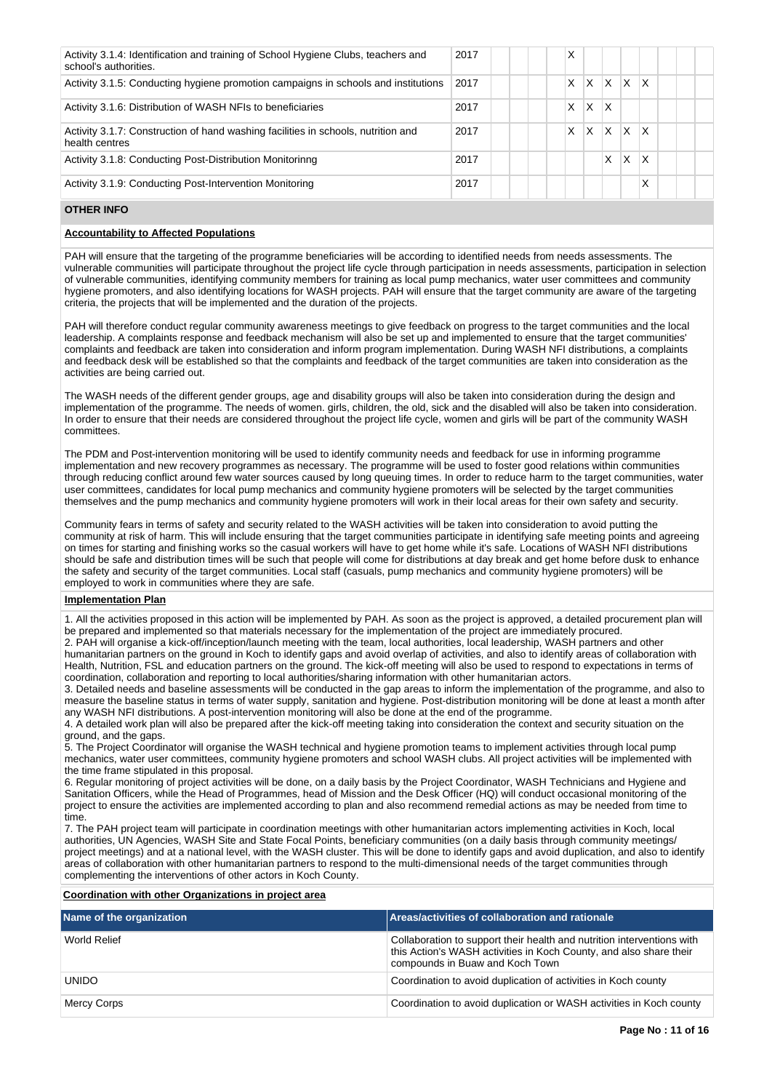| Activity 3.1.4: Identification and training of School Hygiene Clubs, teachers and<br>school's authorities. | 2017 |  | X |   |             |              |                         |  |
|------------------------------------------------------------------------------------------------------------|------|--|---|---|-------------|--------------|-------------------------|--|
| Activity 3.1.5: Conducting hygiene promotion campaigns in schools and institutions                         | 2017 |  | X |   | $X$ $X$ $X$ |              | $\mathsf{I} \mathsf{X}$ |  |
| Activity 3.1.6: Distribution of WASH NFIs to beneficiaries                                                 | 2017 |  | x | X | x           |              |                         |  |
| Activity 3.1.7: Construction of hand washing facilities in schools, nutrition and<br>health centres        | 2017 |  | X |   | $ X $ $ X $ |              | $\mathsf{I} \mathsf{X}$ |  |
| Activity 3.1.8: Conducting Post-Distribution Monitorinng                                                   | 2017 |  |   |   | X.          | $\mathsf{X}$ | ΙX                      |  |
| Activity 3.1.9: Conducting Post-Intervention Monitoring                                                    | 2017 |  |   |   |             |              | $\checkmark$<br>л       |  |

# **OTHER INFO**

#### **Accountability to Affected Populations**

PAH will ensure that the targeting of the programme beneficiaries will be according to identified needs from needs assessments. The vulnerable communities will participate throughout the project life cycle through participation in needs assessments, participation in selection of vulnerable communities, identifying community members for training as local pump mechanics, water user committees and community hygiene promoters, and also identifying locations for WASH projects. PAH will ensure that the target community are aware of the targeting criteria, the projects that will be implemented and the duration of the projects.

PAH will therefore conduct regular community awareness meetings to give feedback on progress to the target communities and the local leadership. A complaints response and feedback mechanism will also be set up and implemented to ensure that the target communities' complaints and feedback are taken into consideration and inform program implementation. During WASH NFI distributions, a complaints and feedback desk will be established so that the complaints and feedback of the target communities are taken into consideration as the activities are being carried out.

The WASH needs of the different gender groups, age and disability groups will also be taken into consideration during the design and implementation of the programme. The needs of women. girls, children, the old, sick and the disabled will also be taken into consideration. In order to ensure that their needs are considered throughout the project life cycle, women and girls will be part of the community WASH committees.

The PDM and Post-intervention monitoring will be used to identify community needs and feedback for use in informing programme implementation and new recovery programmes as necessary. The programme will be used to foster good relations within communities through reducing conflict around few water sources caused by long queuing times. In order to reduce harm to the target communities, water user committees, candidates for local pump mechanics and community hygiene promoters will be selected by the target communities themselves and the pump mechanics and community hygiene promoters will work in their local areas for their own safety and security.

Community fears in terms of safety and security related to the WASH activities will be taken into consideration to avoid putting the community at risk of harm. This will include ensuring that the target communities participate in identifying safe meeting points and agreeing on times for starting and finishing works so the casual workers will have to get home while it's safe. Locations of WASH NFI distributions should be safe and distribution times will be such that people will come for distributions at day break and get home before dusk to enhance the safety and security of the target communities. Local staff (casuals, pump mechanics and community hygiene promoters) will be employed to work in communities where they are safe.

#### **Implementation Plan**

1. All the activities proposed in this action will be implemented by PAH. As soon as the project is approved, a detailed procurement plan will be prepared and implemented so that materials necessary for the implementation of the project are immediately procured. 2. PAH will organise a kick-off/inception/launch meeting with the team, local authorities, local leadership, WASH partners and other humanitarian partners on the ground in Koch to identify gaps and avoid overlap of activities, and also to identify areas of collaboration with Health, Nutrition, FSL and education partners on the ground. The kick-off meeting will also be used to respond to expectations in terms of

coordination, collaboration and reporting to local authorities/sharing information with other humanitarian actors. 3. Detailed needs and baseline assessments will be conducted in the gap areas to inform the implementation of the programme, and also to measure the baseline status in terms of water supply, sanitation and hygiene. Post-distribution monitoring will be done at least a month after any WASH NFI distributions. A post-intervention monitoring will also be done at the end of the programme.

4. A detailed work plan will also be prepared after the kick-off meeting taking into consideration the context and security situation on the ground, and the gaps.

5. The Project Coordinator will organise the WASH technical and hygiene promotion teams to implement activities through local pump mechanics, water user committees, community hygiene promoters and school WASH clubs. All project activities will be implemented with the time frame stipulated in this proposal.

6. Regular monitoring of project activities will be done, on a daily basis by the Project Coordinator, WASH Technicians and Hygiene and Sanitation Officers, while the Head of Programmes, head of Mission and the Desk Officer (HQ) will conduct occasional monitoring of the project to ensure the activities are implemented according to plan and also recommend remedial actions as may be needed from time to time.

7. The PAH project team will participate in coordination meetings with other humanitarian actors implementing activities in Koch, local authorities, UN Agencies, WASH Site and State Focal Points, beneficiary communities (on a daily basis through community meetings/ project meetings) and at a national level, with the WASH cluster. This will be done to identify gaps and avoid duplication, and also to identify areas of collaboration with other humanitarian partners to respond to the multi-dimensional needs of the target communities through complementing the interventions of other actors in Koch County.

# **Coordination with other Organizations in project area**

| Name of the organization | Areas/activities of collaboration and rationale                                                                                                                                 |
|--------------------------|---------------------------------------------------------------------------------------------------------------------------------------------------------------------------------|
| World Relief             | Collaboration to support their health and nutrition interventions with<br>this Action's WASH activities in Koch County, and also share their<br>compounds in Buaw and Koch Town |
| <b>UNIDO</b>             | Coordination to avoid duplication of activities in Koch county                                                                                                                  |
| Mercy Corps              | Coordination to avoid duplication or WASH activities in Koch county                                                                                                             |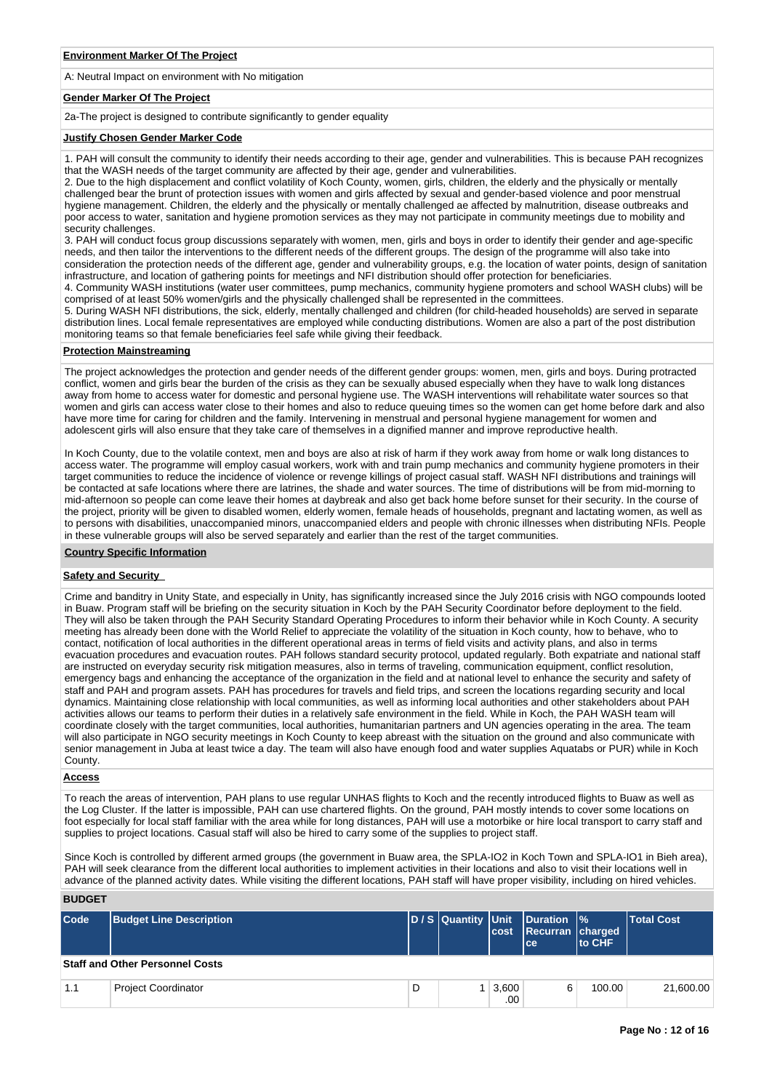A: Neutral Impact on environment with No mitigation

#### **Gender Marker Of The Project**

2a-The project is designed to contribute significantly to gender equality

#### **Justify Chosen Gender Marker Code**

1. PAH will consult the community to identify their needs according to their age, gender and vulnerabilities. This is because PAH recognizes that the WASH needs of the target community are affected by their age, gender and vulnerabilities.

2. Due to the high displacement and conflict volatility of Koch County, women, girls, children, the elderly and the physically or mentally challenged bear the brunt of protection issues with women and girls affected by sexual and gender-based violence and poor menstrual hygiene management. Children, the elderly and the physically or mentally challenged ae affected by malnutrition, disease outbreaks and poor access to water, sanitation and hygiene promotion services as they may not participate in community meetings due to mobility and security challenges.

3. PAH will conduct focus group discussions separately with women, men, girls and boys in order to identify their gender and age-specific needs, and then tailor the interventions to the different needs of the different groups. The design of the programme will also take into consideration the protection needs of the different age, gender and vulnerability groups, e.g. the location of water points, design of sanitation infrastructure, and location of gathering points for meetings and NFI distribution should offer protection for beneficiaries.

4. Community WASH institutions (water user committees, pump mechanics, community hygiene promoters and school WASH clubs) will be comprised of at least 50% women/girls and the physically challenged shall be represented in the committees.

5. During WASH NFI distributions, the sick, elderly, mentally challenged and children (for child-headed households) are served in separate distribution lines. Local female representatives are employed while conducting distributions. Women are also a part of the post distribution monitoring teams so that female beneficiaries feel safe while giving their feedback.

#### **Protection Mainstreaming**

The project acknowledges the protection and gender needs of the different gender groups: women, men, girls and boys. During protracted conflict, women and girls bear the burden of the crisis as they can be sexually abused especially when they have to walk long distances away from home to access water for domestic and personal hygiene use. The WASH interventions will rehabilitate water sources so that women and girls can access water close to their homes and also to reduce queuing times so the women can get home before dark and also have more time for caring for children and the family. Intervening in menstrual and personal hygiene management for women and adolescent girls will also ensure that they take care of themselves in a dignified manner and improve reproductive health.

In Koch County, due to the volatile context, men and boys are also at risk of harm if they work away from home or walk long distances to access water. The programme will employ casual workers, work with and train pump mechanics and community hygiene promoters in their target communities to reduce the incidence of violence or revenge killings of project casual staff. WASH NFI distributions and trainings will be contacted at safe locations where there are latrines, the shade and water sources. The time of distributions will be from mid-morning to mid-afternoon so people can come leave their homes at daybreak and also get back home before sunset for their security. In the course of the project, priority will be given to disabled women, elderly women, female heads of households, pregnant and lactating women, as well as to persons with disabilities, unaccompanied minors, unaccompanied elders and people with chronic illnesses when distributing NFIs. People in these vulnerable groups will also be served separately and earlier than the rest of the target communities.

#### **Country Specific Information**

#### **Safety and Security**

Crime and banditry in Unity State, and especially in Unity, has significantly increased since the July 2016 crisis with NGO compounds looted in Buaw. Program staff will be briefing on the security situation in Koch by the PAH Security Coordinator before deployment to the field. They will also be taken through the PAH Security Standard Operating Procedures to inform their behavior while in Koch County. A security meeting has already been done with the World Relief to appreciate the volatility of the situation in Koch county, how to behave, who to contact, notification of local authorities in the different operational areas in terms of field visits and activity plans, and also in terms evacuation procedures and evacuation routes. PAH follows standard security protocol, updated regularly. Both expatriate and national staff are instructed on everyday security risk mitigation measures, also in terms of traveling, communication equipment, conflict resolution, emergency bags and enhancing the acceptance of the organization in the field and at national level to enhance the security and safety of staff and PAH and program assets. PAH has procedures for travels and field trips, and screen the locations regarding security and local dynamics. Maintaining close relationship with local communities, as well as informing local authorities and other stakeholders about PAH activities allows our teams to perform their duties in a relatively safe environment in the field. While in Koch, the PAH WASH team will coordinate closely with the target communities, local authorities, humanitarian partners and UN agencies operating in the area. The team will also participate in NGO security meetings in Koch County to keep abreast with the situation on the ground and also communicate with senior management in Juba at least twice a day. The team will also have enough food and water supplies Aquatabs or PUR) while in Koch County.

#### **Access**

To reach the areas of intervention, PAH plans to use regular UNHAS flights to Koch and the recently introduced flights to Buaw as well as the Log Cluster. If the latter is impossible, PAH can use chartered flights. On the ground, PAH mostly intends to cover some locations on foot especially for local staff familiar with the area while for long distances, PAH will use a motorbike or hire local transport to carry staff and supplies to project locations. Casual staff will also be hired to carry some of the supplies to project staff.

Since Koch is controlled by different armed groups (the government in Buaw area, the SPLA-IO2 in Koch Town and SPLA-IO1 in Bieh area), PAH will seek clearance from the different local authorities to implement activities in their locations and also to visit their locations well in advance of the planned activity dates. While visiting the different locations, PAH staff will have proper visibility, including on hired vehicles.

## **BUDGET**

| Code                                   | <b>Budget Line Description</b> |   |  | cost             | D/S Quantity Unit Duration %<br>Recurran charged<br>lce: | <b>Ito CHF</b> | <b>Total Cost</b> |  |
|----------------------------------------|--------------------------------|---|--|------------------|----------------------------------------------------------|----------------|-------------------|--|
| <b>Staff and Other Personnel Costs</b> |                                |   |  |                  |                                                          |                |                   |  |
| 1.1                                    | <b>Project Coordinator</b>     | D |  | 3,600<br>$.00\%$ | 6                                                        | 100.00         | 21,600.00         |  |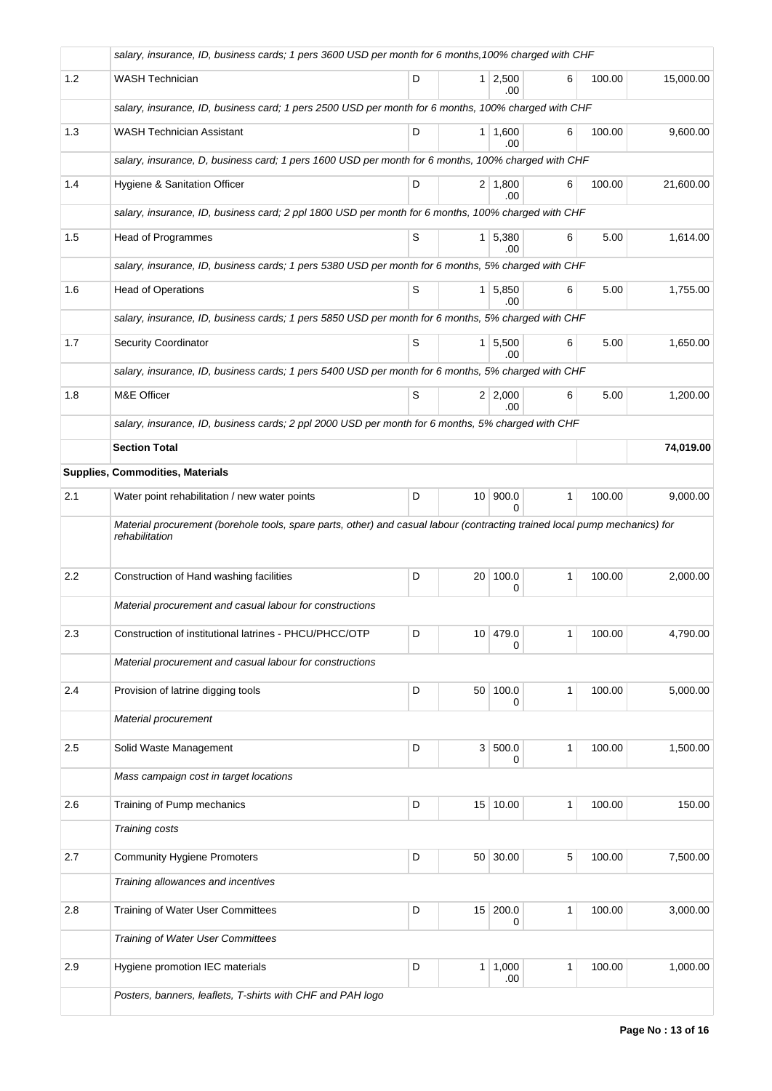|     | salary, insurance, ID, business cards; 1 pers 3600 USD per month for 6 months, 100% charged with CHF                                         |   |                 |                       |              |        |           |  |  |  |  |
|-----|----------------------------------------------------------------------------------------------------------------------------------------------|---|-----------------|-----------------------|--------------|--------|-----------|--|--|--|--|
| 1.2 | <b>WASH Technician</b>                                                                                                                       | D |                 | 1 2,500<br>.00        | 6            | 100.00 | 15,000.00 |  |  |  |  |
|     | salary, insurance, ID, business card; 1 pers 2500 USD per month for 6 months, 100% charged with CHF                                          |   |                 |                       |              |        |           |  |  |  |  |
| 1.3 | <b>WASH Technician Assistant</b>                                                                                                             | D |                 | $1 \mid 1,600$<br>.00 | 6            | 100.00 | 9,600.00  |  |  |  |  |
|     | salary, insurance, D, business card; 1 pers 1600 USD per month for 6 months, 100% charged with CHF                                           |   |                 |                       |              |        |           |  |  |  |  |
| 1.4 | Hygiene & Sanitation Officer                                                                                                                 | D |                 | 2 1,800<br>.00        | 6            | 100.00 | 21,600.00 |  |  |  |  |
|     | salary, insurance, ID, business card; 2 ppl 1800 USD per month for 6 months, 100% charged with CHF                                           |   |                 |                       |              |        |           |  |  |  |  |
| 1.5 | Head of Programmes                                                                                                                           | S |                 | $1 \mid 5,380$<br>.00 | 6            | 5.00   | 1,614.00  |  |  |  |  |
|     | salary, insurance, ID, business cards; 1 pers 5380 USD per month for 6 months, 5% charged with CHF                                           |   |                 |                       |              |        |           |  |  |  |  |
| 1.6 | <b>Head of Operations</b>                                                                                                                    | S |                 | $1 \mid 5,850$<br>.00 | 6            | 5.00   | 1,755.00  |  |  |  |  |
|     | salary, insurance, ID, business cards; 1 pers 5850 USD per month for 6 months, 5% charged with CHF                                           |   |                 |                       |              |        |           |  |  |  |  |
| 1.7 | <b>Security Coordinator</b>                                                                                                                  | S | 1 <sup>1</sup>  | 5,500<br>.00          | 6            | 5.00   | 1,650.00  |  |  |  |  |
|     | salary, insurance, ID, business cards; 1 pers 5400 USD per month for 6 months, 5% charged with CHF                                           |   |                 |                       |              |        |           |  |  |  |  |
| 1.8 | M&E Officer                                                                                                                                  | S |                 | 2 2,000<br>.00        | 6            | 5.00   | 1,200.00  |  |  |  |  |
|     | salary, insurance, ID, business cards; 2 ppl 2000 USD per month for 6 months, 5% charged with CHF                                            |   |                 |                       |              |        |           |  |  |  |  |
|     | <b>Section Total</b>                                                                                                                         |   |                 |                       |              |        | 74,019.00 |  |  |  |  |
|     | Supplies, Commodities, Materials                                                                                                             |   |                 |                       |              |        |           |  |  |  |  |
| 2.1 | Water point rehabilitation / new water points                                                                                                | D | 10 <sup>1</sup> | 900.0<br><sup>0</sup> | $\mathbf{1}$ | 100.00 | 9,000.00  |  |  |  |  |
|     | Material procurement (borehole tools, spare parts, other) and casual labour (contracting trained local pump mechanics) for<br>rehabilitation |   |                 |                       |              |        |           |  |  |  |  |
| 2.2 | Construction of Hand washing facilities                                                                                                      | D | 20              | 100.0<br>0            | 1            | 100.00 | 2,000.00  |  |  |  |  |
|     | Material procurement and casual labour for constructions                                                                                     |   |                 |                       |              |        |           |  |  |  |  |
| 2.3 | Construction of institutional latrines - PHCU/PHCC/OTP                                                                                       | D |                 | 10 479.0<br>0         | 1            | 100.00 | 4,790.00  |  |  |  |  |
|     | Material procurement and casual labour for constructions                                                                                     |   |                 |                       |              |        |           |  |  |  |  |
| 2.4 | Provision of latrine digging tools                                                                                                           | D | 50 <sup>1</sup> | 100.0<br>0            | 1            | 100.00 | 5,000.00  |  |  |  |  |
|     | Material procurement                                                                                                                         |   |                 |                       |              |        |           |  |  |  |  |
| 2.5 | Solid Waste Management                                                                                                                       | D | 3 <sup>1</sup>  | 500.0<br>0            | 1            | 100.00 | 1,500.00  |  |  |  |  |
|     | Mass campaign cost in target locations                                                                                                       |   |                 |                       |              |        |           |  |  |  |  |
| 2.6 | Training of Pump mechanics                                                                                                                   | D |                 | 15 10.00              | 1            | 100.00 | 150.00    |  |  |  |  |
|     | Training costs                                                                                                                               |   |                 |                       |              |        |           |  |  |  |  |
| 2.7 | <b>Community Hygiene Promoters</b>                                                                                                           | D | 50 <sup>1</sup> | 30.00                 | 5            | 100.00 | 7,500.00  |  |  |  |  |
|     | Training allowances and incentives                                                                                                           |   |                 |                       |              |        |           |  |  |  |  |
| 2.8 | <b>Training of Water User Committees</b>                                                                                                     | D | 15              | 200.0<br>0            | 1            | 100.00 | 3,000.00  |  |  |  |  |
|     | Training of Water User Committees                                                                                                            |   |                 |                       |              |        |           |  |  |  |  |
| 2.9 | Hygiene promotion IEC materials                                                                                                              | D | 1 <sup>1</sup>  | 1,000<br>.00          | 1            | 100.00 | 1,000.00  |  |  |  |  |
|     | Posters, banners, leaflets, T-shirts with CHF and PAH logo                                                                                   |   |                 |                       |              |        |           |  |  |  |  |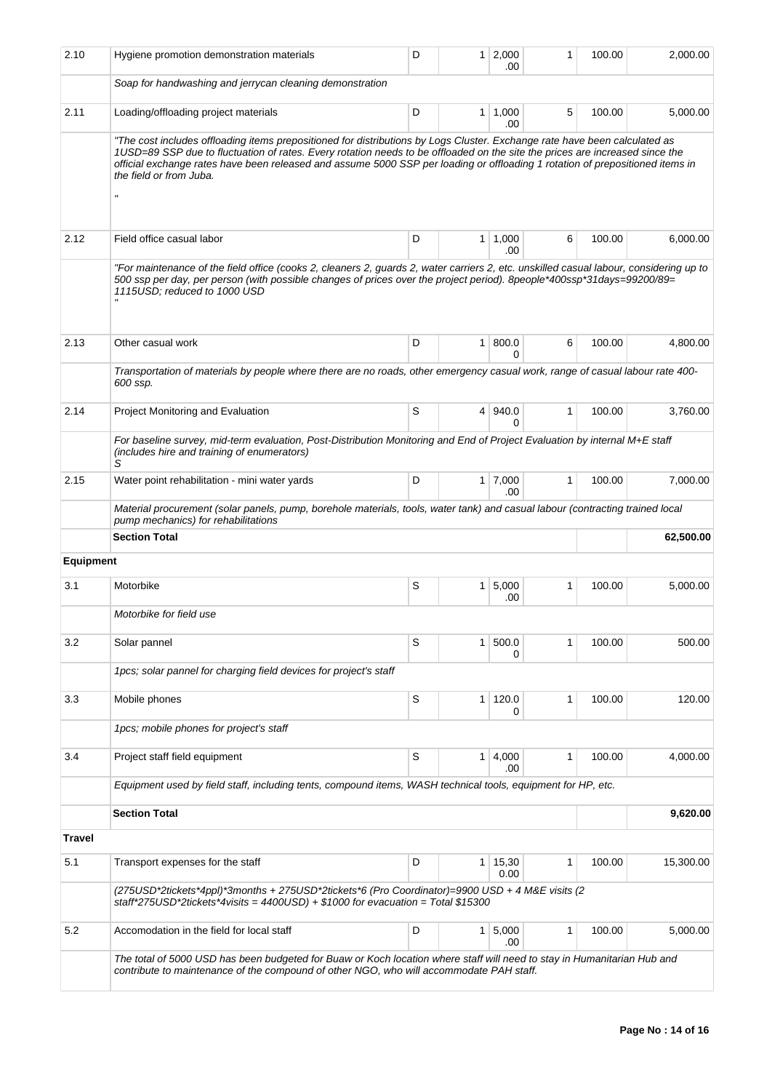| 2.10             | Hygiene promotion demonstration materials                                                                                                                                                                                                                                                                                                                                                                                                           | D | 1              | 2,000<br>.00  | 1 | 100.00 | 2,000.00  |
|------------------|-----------------------------------------------------------------------------------------------------------------------------------------------------------------------------------------------------------------------------------------------------------------------------------------------------------------------------------------------------------------------------------------------------------------------------------------------------|---|----------------|---------------|---|--------|-----------|
|                  | Soap for handwashing and jerrycan cleaning demonstration                                                                                                                                                                                                                                                                                                                                                                                            |   |                |               |   |        |           |
| 2.11             | Loading/offloading project materials                                                                                                                                                                                                                                                                                                                                                                                                                | D | 1              | 1,000<br>.00  | 5 | 100.00 | 5,000.00  |
|                  | "The cost includes offloading items prepositioned for distributions by Logs Cluster. Exchange rate have been calculated as<br>1USD=89 SSP due to fluctuation of rates. Every rotation needs to be offloaded on the site the prices are increased since the<br>official exchange rates have been released and assume 5000 SSP per loading or offloading 1 rotation of prepositioned items in<br>the field or from Juba.<br>$\boldsymbol{\mathsf{u}}$ |   |                |               |   |        |           |
| 2.12             | Field office casual labor                                                                                                                                                                                                                                                                                                                                                                                                                           | D | 1              | 1,000<br>.00  | 6 | 100.00 | 6,000.00  |
|                  | "For maintenance of the field office (cooks 2, cleaners 2, guards 2, water carriers 2, etc. unskilled casual labour, considering up to<br>500 ssp per day, per person (with possible changes of prices over the project period). 8people*400ssp*31days=99200/89=<br>1115USD; reduced to 1000 USD                                                                                                                                                    |   |                |               |   |        |           |
| 2.13             | Other casual work                                                                                                                                                                                                                                                                                                                                                                                                                                   | D | 1              | 800.0<br>0    | 6 | 100.00 | 4,800.00  |
|                  | Transportation of materials by people where there are no roads, other emergency casual work, range of casual labour rate 400-<br>600 ssp.                                                                                                                                                                                                                                                                                                           |   |                |               |   |        |           |
| 2.14             | Project Monitoring and Evaluation                                                                                                                                                                                                                                                                                                                                                                                                                   | S | $\overline{4}$ | 940.0<br>0    | 1 | 100.00 | 3,760.00  |
|                  | For baseline survey, mid-term evaluation, Post-Distribution Monitoring and End of Project Evaluation by internal M+E staff<br>(includes hire and training of enumerators)<br>S                                                                                                                                                                                                                                                                      |   |                |               |   |        |           |
| 2.15             | Water point rehabilitation - mini water yards                                                                                                                                                                                                                                                                                                                                                                                                       | D | $\mathbf{1}$   | 7,000<br>.00  | 1 | 100.00 | 7,000.00  |
|                  | Material procurement (solar panels, pump, borehole materials, tools, water tank) and casual labour (contracting trained local<br>pump mechanics) for rehabilitations                                                                                                                                                                                                                                                                                |   |                |               |   |        |           |
|                  | <b>Section Total</b>                                                                                                                                                                                                                                                                                                                                                                                                                                |   |                |               |   |        | 62,500.00 |
| <b>Equipment</b> |                                                                                                                                                                                                                                                                                                                                                                                                                                                     |   |                |               |   |        |           |
| 3.1              | Motorbike                                                                                                                                                                                                                                                                                                                                                                                                                                           | S | 1              | 5,000<br>.00  | 1 | 100.00 | 5,000.00  |
|                  | Motorbike for field use                                                                                                                                                                                                                                                                                                                                                                                                                             |   |                |               |   |        |           |
| 3.2              | Solar pannel                                                                                                                                                                                                                                                                                                                                                                                                                                        | S | 1              | 500.0<br>0    | 1 | 100.00 | 500.00    |
|                  | 1 pcs; solar pannel for charging field devices for project's staff                                                                                                                                                                                                                                                                                                                                                                                  |   |                |               |   |        |           |
| 3.3              | Mobile phones                                                                                                                                                                                                                                                                                                                                                                                                                                       | S | 1              | 120.0<br>0    | 1 | 100.00 | 120.00    |
|                  | 1pcs; mobile phones for project's staff                                                                                                                                                                                                                                                                                                                                                                                                             |   |                |               |   |        |           |
| 3.4              | Project staff field equipment                                                                                                                                                                                                                                                                                                                                                                                                                       | S | 1              | 4,000<br>.00  | 1 | 100.00 | 4,000.00  |
|                  | Equipment used by field staff, including tents, compound items, WASH technical tools, equipment for HP, etc.                                                                                                                                                                                                                                                                                                                                        |   |                |               |   |        |           |
|                  | <b>Section Total</b>                                                                                                                                                                                                                                                                                                                                                                                                                                |   |                |               |   |        | 9,620.00  |
| <b>Travel</b>    |                                                                                                                                                                                                                                                                                                                                                                                                                                                     |   |                |               |   |        |           |
| 5.1              | Transport expenses for the staff                                                                                                                                                                                                                                                                                                                                                                                                                    | D | 1              | 15,30<br>0.00 | 1 | 100.00 | 15,300.00 |
|                  | (275USD*2tickets*4ppl)*3months + 275USD*2tickets*6 (Pro Coordinator)=9900 USD + 4 M&E visits (2<br>staff*275USD*2tickets*4visits = $4400$ USD) + \$1000 for evacuation = Total \$15300                                                                                                                                                                                                                                                              |   |                |               |   |        |           |
| 5.2              | Accomodation in the field for local staff                                                                                                                                                                                                                                                                                                                                                                                                           | D | 1              | 5,000<br>.00  | 1 | 100.00 | 5,000.00  |
|                  | The total of 5000 USD has been budgeted for Buaw or Koch location where staff will need to stay in Humanitarian Hub and<br>contribute to maintenance of the compound of other NGO, who will accommodate PAH staff.                                                                                                                                                                                                                                  |   |                |               |   |        |           |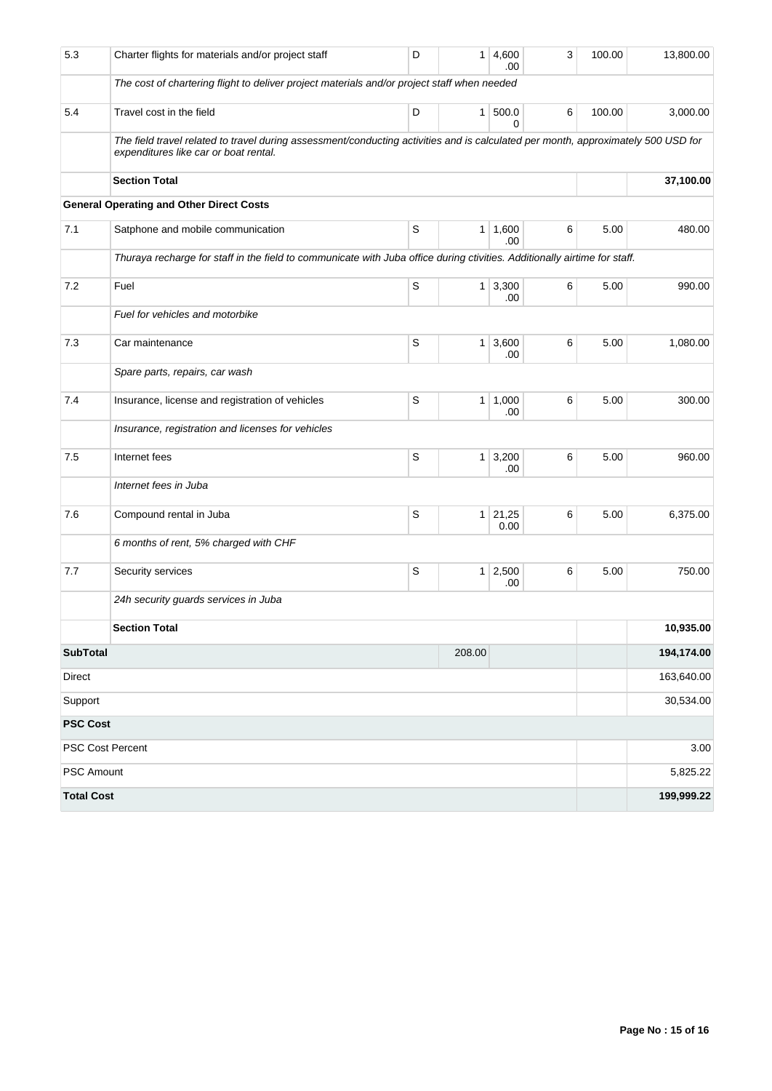| 5.3               | Charter flights for materials and/or project staff                                                                                                                         | D | 1              | 4,600<br>.00  | 3 | 100.00 | 13,800.00  |
|-------------------|----------------------------------------------------------------------------------------------------------------------------------------------------------------------------|---|----------------|---------------|---|--------|------------|
|                   | The cost of chartering flight to deliver project materials and/or project staff when needed                                                                                |   |                |               |   |        |            |
| 5.4               | Travel cost in the field                                                                                                                                                   | D | 1 <sup>1</sup> | 500.0<br>0    | 6 | 100.00 | 3,000.00   |
|                   | The field travel related to travel during assessment/conducting activities and is calculated per month, approximately 500 USD for<br>expenditures like car or boat rental. |   |                |               |   |        |            |
|                   | <b>Section Total</b>                                                                                                                                                       |   | 37,100.00      |               |   |        |            |
|                   | <b>General Operating and Other Direct Costs</b>                                                                                                                            |   |                |               |   |        |            |
| 7.1               | Satphone and mobile communication                                                                                                                                          | S | 1 <sup>1</sup> | 1,600<br>.00  | 6 | 5.00   | 480.00     |
|                   | Thuraya recharge for staff in the field to communicate with Juba office during ctivities. Additionally airtime for staff.                                                  |   |                |               |   |        |            |
| 7.2               | Fuel                                                                                                                                                                       | S | $\mathbf{1}$   | 3,300<br>.00  | 6 | 5.00   | 990.00     |
|                   | Fuel for vehicles and motorbike                                                                                                                                            |   |                |               |   |        |            |
| 7.3               | Car maintenance                                                                                                                                                            | S | $\mathbf{1}$   | 3,600<br>.00  | 6 | 5.00   | 1,080.00   |
|                   | Spare parts, repairs, car wash                                                                                                                                             |   |                |               |   |        |            |
| 7.4               | Insurance, license and registration of vehicles                                                                                                                            | S | $\mathbf{1}$   | 1,000<br>.00  | 6 | 5.00   | 300.00     |
|                   | Insurance, registration and licenses for vehicles                                                                                                                          |   |                |               |   |        |            |
| 7.5               | Internet fees                                                                                                                                                              | S | $\mathbf{1}$   | 3,200<br>.00  | 6 | 5.00   | 960.00     |
|                   | Internet fees in Juba                                                                                                                                                      |   |                |               |   |        |            |
| 7.6               | Compound rental in Juba                                                                                                                                                    | S | $\mathbf{1}$   | 21,25<br>0.00 | 6 | 5.00   | 6,375.00   |
|                   | 6 months of rent, 5% charged with CHF                                                                                                                                      |   |                |               |   |        |            |
| 7.7               | Security services                                                                                                                                                          | S | $\mathbf{1}$   | 2,500<br>.00  | 6 | 5.00   | 750.00     |
|                   | 24h security guards services in Juba                                                                                                                                       |   |                |               |   |        |            |
|                   | <b>Section Total</b>                                                                                                                                                       |   |                |               |   |        | 10,935.00  |
| <b>SubTotal</b>   |                                                                                                                                                                            |   | 208.00         |               |   |        | 194,174.00 |
| Direct            |                                                                                                                                                                            |   |                |               |   |        | 163,640.00 |
| Support           |                                                                                                                                                                            |   |                |               |   |        | 30,534.00  |
| <b>PSC Cost</b>   |                                                                                                                                                                            |   |                |               |   |        |            |
|                   | PSC Cost Percent                                                                                                                                                           |   |                |               |   |        | 3.00       |
| PSC Amount        |                                                                                                                                                                            |   |                |               |   |        | 5,825.22   |
| <b>Total Cost</b> |                                                                                                                                                                            |   |                |               |   |        | 199,999.22 |